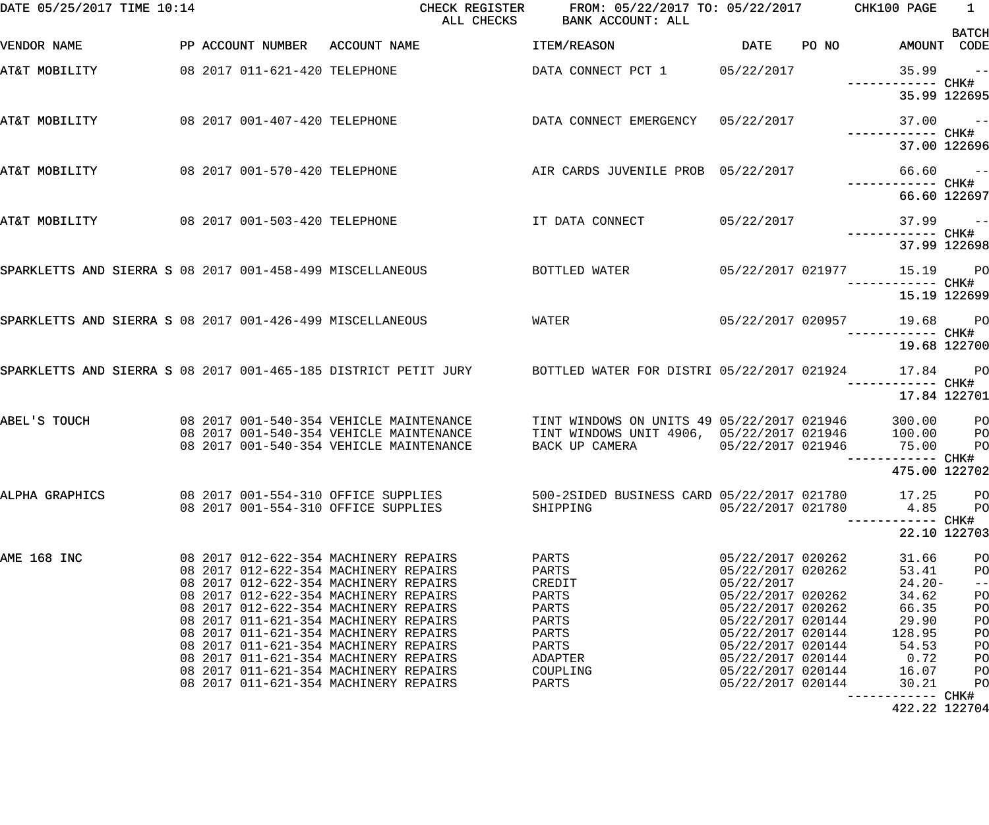| DATE 05/25/2017 TIME 10:14                                |  |                               | CHECK REGISTER<br>ALL CHECKS                                                                                        | FROM: 05/22/2017 TO: 05/22/2017 CHK100 PAGE<br>BANK ACCOUNT: ALL                        |                                        |                            | $\overline{1}$<br><b>BATCH</b> |
|-----------------------------------------------------------|--|-------------------------------|---------------------------------------------------------------------------------------------------------------------|-----------------------------------------------------------------------------------------|----------------------------------------|----------------------------|--------------------------------|
| VENDOR NAME                                               |  |                               | PP ACCOUNT NUMBER ACCOUNT NAME                                                                                      | <b>ITEM/REASON</b>                                                                      | DATE PO NO                             | AMOUNT CODE                |                                |
| AT&T MOBILITY                                             |  | 08 2017 011-621-420 TELEPHONE |                                                                                                                     | DATA CONNECT PCT 1 05/22/2017                                                           |                                        | $35.99 - -$                |                                |
|                                                           |  |                               |                                                                                                                     |                                                                                         |                                        | 35.99 122695               |                                |
| AT&T MOBILITY                                             |  | 08 2017 001-407-420 TELEPHONE |                                                                                                                     | DATA CONNECT EMERGENCY 05/22/2017                                                       |                                        | $37.00 - -$                |                                |
|                                                           |  |                               |                                                                                                                     |                                                                                         |                                        | 37.00 122696               |                                |
| AT&T MOBILITY                                             |  |                               | -- 08 2017 001-570-420 TELEPHONE AIR CARDS JUVENILE PROB 05/22/2017 66.60<br>#CHK                                   |                                                                                         |                                        |                            |                                |
|                                                           |  |                               |                                                                                                                     |                                                                                         |                                        | 66.60 122697               |                                |
| AT&T MOBILITY                                             |  | 08 2017 001-503-420 TELEPHONE |                                                                                                                     | IT DATA CONNECT 05/22/2017                                                              |                                        | $37.99 - -$                |                                |
|                                                           |  |                               |                                                                                                                     |                                                                                         |                                        | 37.99 122698               |                                |
| SPARKLETTS AND SIERRA S 08 2017 001-458-499 MISCELLANEOUS |  |                               |                                                                                                                     | BOTTLED WATER                                                                           |                                        | 05/22/2017 021977 15.19 PO |                                |
|                                                           |  |                               |                                                                                                                     |                                                                                         |                                        | 15.19 122699               |                                |
| SPARKLETTS AND SIERRA S 08 2017 001-426-499 MISCELLANEOUS |  |                               |                                                                                                                     | WATER                                                                                   |                                        | 05/22/2017 020957 19.68 PO |                                |
|                                                           |  |                               |                                                                                                                     |                                                                                         |                                        | 19.68 122700               |                                |
|                                                           |  |                               | SPARKLETTS AND SIERRA S 08 2017 001-465-185 DISTRICT PETIT JURY BOTTLED WATER FOR DISTRI 05/22/2017 021924 17.84 PO |                                                                                         |                                        | ------------ CHK#          |                                |
|                                                           |  |                               |                                                                                                                     |                                                                                         |                                        | 17.84 122701               |                                |
| ABEL'S TOUCH                                              |  |                               | 08 2017 001-540-354 VEHICLE MAINTENANCE                                                                             | TINT WINDOWS ON UNITS 49 05/22/2017 021946<br>TINT WINDOWS UNIT 4906, 05/22/2017 021946 |                                        | 300.00                     | $P$ O                          |
|                                                           |  |                               | 08 2017 001-540-354 VEHICLE MAINTENANCE<br>08 2017 001-540-354 VEHICLE MAINTENANCE                                  | BACK UP CAMERA 05/22/2017 021946 75.00                                                  |                                        | 100.00                     | P <sub>O</sub><br>PO           |
|                                                           |  |                               |                                                                                                                     |                                                                                         |                                        | ----------- CHK#           |                                |
|                                                           |  |                               |                                                                                                                     |                                                                                         |                                        | 475.00 122702              |                                |
| ALPHA GRAPHICS                                            |  |                               | 08 2017 001-554-310 OFFICE SUPPLIES<br>08 2017 001-554-310 OFFICE SUPPLIES                                          | 500-2SIDED BUSINESS CARD 05/22/2017 021780<br>SHIPPING                                  | 05/22/2017 021780                      | 17.25<br>4.85              | PO<br>PO                       |
|                                                           |  |                               |                                                                                                                     |                                                                                         |                                        | ------ CHK#                |                                |
|                                                           |  |                               |                                                                                                                     |                                                                                         |                                        |                            | 22.10 122703                   |
| AME 168 INC                                               |  |                               | 08 2017 012-622-354 MACHINERY REPAIRS<br>08 2017 012-622-354 MACHINERY REPAIRS                                      | PARTS<br>PARTS                                                                          | 05/22/2017 020262<br>05/22/2017 020262 | 31.66<br>53.41             | PO<br>PO                       |
|                                                           |  |                               | 08 2017 012-622-354 MACHINERY REPAIRS                                                                               | CREDIT                                                                                  | 05/22/2017                             | $24.20-$                   | $- -$                          |
|                                                           |  |                               | 08 2017 012-622-354 MACHINERY REPAIRS                                                                               | PARTS                                                                                   | 05/22/2017 020262                      | 34.62                      | PO                             |
|                                                           |  |                               | 08 2017 012-622-354 MACHINERY REPAIRS                                                                               | PARTS                                                                                   | 05/22/2017 020262                      | 66.35                      | PO                             |
|                                                           |  |                               | 08 2017 011-621-354 MACHINERY REPAIRS                                                                               | PARTS                                                                                   | 05/22/2017 020144                      | 29.90                      | PO                             |
|                                                           |  |                               | 08 2017 011-621-354 MACHINERY REPAIRS                                                                               | PARTS                                                                                   | 05/22/2017 020144                      | 128.95                     | PO                             |
|                                                           |  |                               | 08 2017 011-621-354 MACHINERY REPAIRS                                                                               | PARTS                                                                                   | 05/22/2017 020144                      | 54.53                      | PO                             |
|                                                           |  |                               | 08 2017 011-621-354 MACHINERY REPAIRS<br>08 2017 011-621-354 MACHINERY REPAIRS                                      | ADAPTER<br>COUPLING                                                                     | 05/22/2017 020144<br>05/22/2017 020144 | 0.72<br>16.07              | PO<br>PO                       |
|                                                           |  |                               | 08 2017 011-621-354 MACHINERY REPAIRS                                                                               | PARTS                                                                                   | 05/22/2017 020144                      | 30.21                      | PO                             |
|                                                           |  |                               |                                                                                                                     |                                                                                         |                                        | ------------ CHK#          |                                |
|                                                           |  |                               |                                                                                                                     |                                                                                         |                                        |                            |                                |

422.22 122704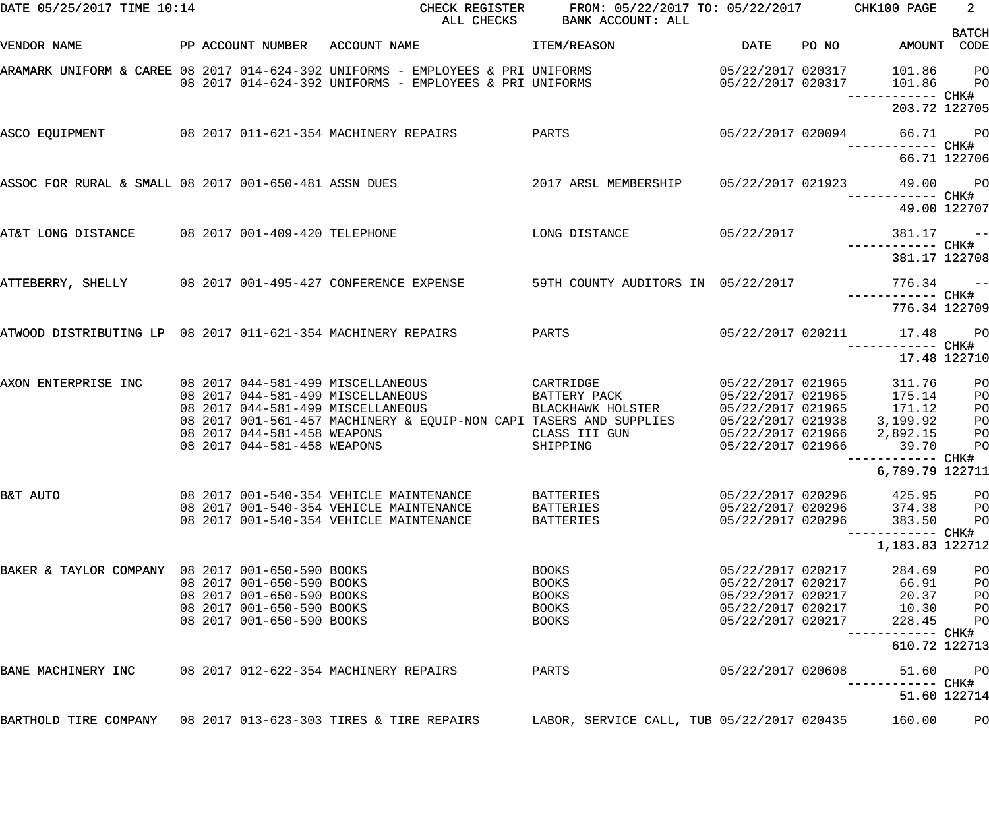| DATE 05/25/2017 TIME 10:14                                     |  |                                                                                                                  | CHECK REGISTER<br>ALL CHECKS                                                                                                                                                      | FROM: 05/22/2017 TO: 05/22/2017 CHK100 PAGE<br>BANK ACCOUNT: ALL             |                                                                                                       |       |                                                                                                 | $\overline{\phantom{a}}$ 2                   |
|----------------------------------------------------------------|--|------------------------------------------------------------------------------------------------------------------|-----------------------------------------------------------------------------------------------------------------------------------------------------------------------------------|------------------------------------------------------------------------------|-------------------------------------------------------------------------------------------------------|-------|-------------------------------------------------------------------------------------------------|----------------------------------------------|
| VENDOR NAME                                                    |  |                                                                                                                  | PP ACCOUNT NUMBER ACCOUNT NAME                                                                                                                                                    | <b>ITEM/REASON</b>                                                           | DATE                                                                                                  | PO NO | AMOUNT CODE                                                                                     | <b>BATCH</b>                                 |
|                                                                |  |                                                                                                                  | ARAMARK UNIFORM & CAREE 08 2017 014-624-392 UNIFORMS - EMPLOYEES & PRI UNIFORMS<br>08 2017 014-624-392 UNIFORMS - EMPLOYEES & PRI UNIFORMS                                        |                                                                              | 05/22/2017 020317<br>05/22/2017 020317                                                                |       | 101.86 PO<br>101.86                                                                             | <b>PO</b>                                    |
|                                                                |  |                                                                                                                  |                                                                                                                                                                                   |                                                                              |                                                                                                       |       | 203.72 122705                                                                                   |                                              |
|                                                                |  |                                                                                                                  | ASCO EQUIPMENT 68 2017 011-621-354 MACHINERY REPAIRS                                                                                                                              | PARTS                                                                        | 05/22/2017 020094                                                                                     |       | 66.71 PO                                                                                        |                                              |
|                                                                |  |                                                                                                                  |                                                                                                                                                                                   |                                                                              |                                                                                                       |       | 66.71 122706                                                                                    |                                              |
|                                                                |  |                                                                                                                  | ASSOC FOR RURAL & SMALL 08 2017 001-650-481 ASSN DUES                                                                                                                             | 2017 ARSL MEMBERSHIP 05/22/2017 021923                                       |                                                                                                       |       | 49.00 PO                                                                                        |                                              |
|                                                                |  |                                                                                                                  |                                                                                                                                                                                   |                                                                              |                                                                                                       |       | 49.00 122707                                                                                    |                                              |
| AT&T LONG DISTANCE 08 2017 001-409-420 TELEPHONE               |  |                                                                                                                  |                                                                                                                                                                                   | $LONG$ $DISTANCE$ $05/22/2017$                                               |                                                                                                       |       | $381.17 - -$<br>------------ CHK#                                                               |                                              |
|                                                                |  |                                                                                                                  |                                                                                                                                                                                   |                                                                              |                                                                                                       |       | 381.17 122708                                                                                   |                                              |
| ATTEBERRY, SHELLY 08 2017 001-495-427 CONFERENCE EXPENSE       |  |                                                                                                                  |                                                                                                                                                                                   | 59TH COUNTY AUDITORS IN 05/22/2017                                           |                                                                                                       |       | $776.34 - -$                                                                                    |                                              |
|                                                                |  |                                                                                                                  |                                                                                                                                                                                   |                                                                              |                                                                                                       |       | 776.34 122709                                                                                   |                                              |
| ATWOOD DISTRIBUTING LP 08 2017 011-621-354 MACHINERY REPAIRS   |  |                                                                                                                  |                                                                                                                                                                                   | PARTS                                                                        |                                                                                                       |       | 05/22/2017 020211 17.48 PO                                                                      |                                              |
|                                                                |  |                                                                                                                  |                                                                                                                                                                                   |                                                                              |                                                                                                       |       | 17.48 122710                                                                                    |                                              |
| AXON ENTERPRISE INC                                            |  | 08 2017 044-581-458 WEAPONS<br>08 2017 044-581-458 WEAPONS                                                       | 08 2017 044-581-499 MISCELLANEOUS<br>08 2017 044-581-499 MISCELLANEOUS<br>08 2017 044-581-499 MISCELLANEOUS<br>08 2017 001-561-457 MACHINERY & EQUIP-NON CAPI TASERS AND SUPPLIES | CARTRIDGE<br>BATTERY PACK<br>BLACKHAWK HOLSTER<br>CLASS III GUN<br>SHIPPING  | 05/22/2017 021965<br>05/22/2017 021938<br>05/22/2017 021966<br>05/22/2017 021966                      |       | 311.76<br>05/22/2017 021965 175.14<br>05/22/2017 021965 171.12<br>3,199.92<br>2,892.15<br>39.70 | PO<br>PO<br>PO<br>PO<br>P <sub>O</sub><br>PO |
|                                                                |  |                                                                                                                  |                                                                                                                                                                                   |                                                                              |                                                                                                       |       | ------------ CHK#<br>6,789.79 122711                                                            |                                              |
| B&T AUTO                                                       |  |                                                                                                                  | 08 2017 001-540-354 VEHICLE MAINTENANCE<br>08 2017 001-540-354 VEHICLE MAINTENANCE<br>08 2017 001-540-354 VEHICLE MAINTENANCE                                                     | BATTERIES<br>BATTERIES<br>BATTERIES                                          | 05/22/2017 020296<br>05/22/2017 020296<br>05/22/2017 020296                                           |       | 425.95<br>374.38<br>383.50                                                                      | P <sub>O</sub><br>PО<br>P <sub>O</sub>       |
|                                                                |  |                                                                                                                  |                                                                                                                                                                                   |                                                                              |                                                                                                       |       | 1,183.83 122712                                                                                 |                                              |
| BAKER & TAYLOR COMPANY 08 2017 001-650-590 BOOKS               |  | 08 2017 001-650-590 BOOKS<br>08 2017 001-650-590 BOOKS<br>08 2017 001-650-590 BOOKS<br>08 2017 001-650-590 BOOKS |                                                                                                                                                                                   | <b>BOOKS</b><br><b>BOOKS</b><br><b>BOOKS</b><br><b>BOOKS</b><br><b>BOOKS</b> | 05/22/2017 020217<br>05/22/2017 020217<br>05/22/2017 020217<br>05/22/2017 020217<br>05/22/2017 020217 |       | 284.69<br>66.91<br>20.37<br>10.30<br>228.45<br>--------- CHK#                                   | PO<br>PO<br>PO<br>PO<br>PО                   |
|                                                                |  |                                                                                                                  |                                                                                                                                                                                   |                                                                              |                                                                                                       |       | 610.72 122713                                                                                   |                                              |
| BANE MACHINERY INC                                             |  |                                                                                                                  | 08 2017 012-622-354 MACHINERY REPAIRS                                                                                                                                             | PARTS                                                                        | 05/22/2017 020608                                                                                     |       | 51.60<br>------ CHK#                                                                            | P <sub>O</sub>                               |
|                                                                |  |                                                                                                                  |                                                                                                                                                                                   |                                                                              |                                                                                                       |       | 51.60 122714                                                                                    |                                              |
| BARTHOLD TIRE COMPANY 08 2017 013-623-303 TIRES & TIRE REPAIRS |  |                                                                                                                  |                                                                                                                                                                                   | LABOR, SERVICE CALL, TUB 05/22/2017 020435                                   |                                                                                                       |       | 160.00                                                                                          | PО                                           |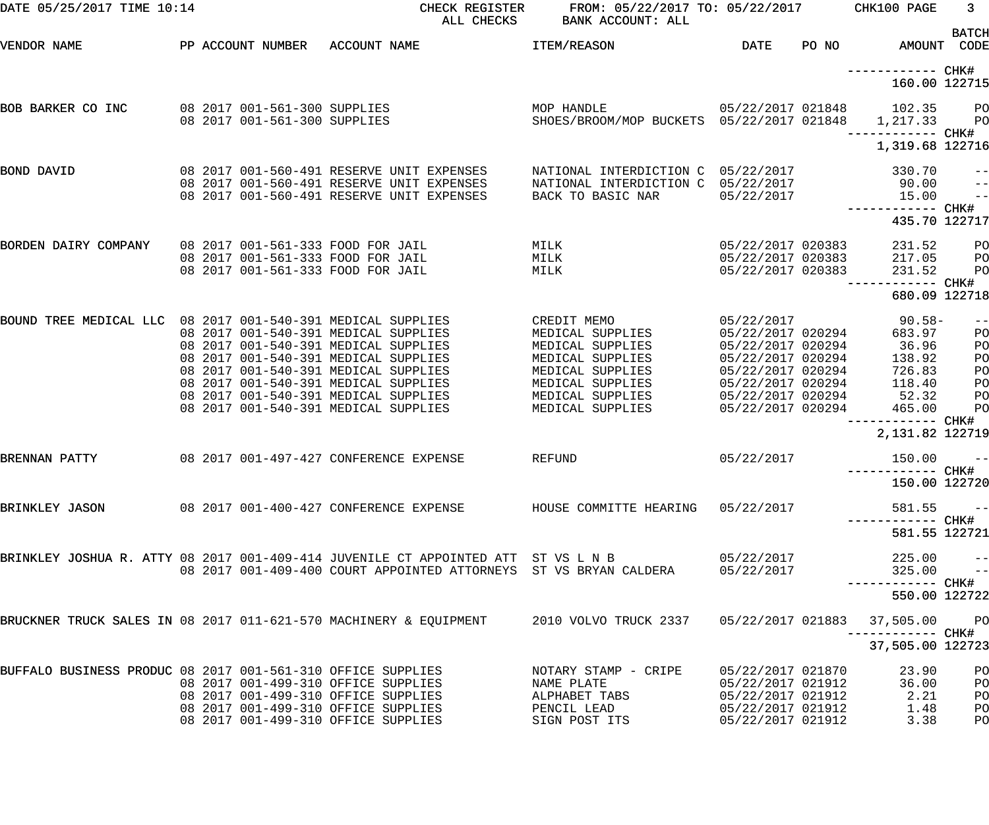| DATE 05/25/2017 TIME 10:14                                  |                                                                                                             | CHECK REGISTER<br>ALL CHECKS                                                                                                                                                                                                                                                         | FROM: 05/22/2017 TO: 05/22/2017 CHK100 PAGE<br>BANK ACCOUNT: ALL                                                                                        |                                                                                                                                                               |       |                                                                            | 3 <sup>7</sup>                                  |
|-------------------------------------------------------------|-------------------------------------------------------------------------------------------------------------|--------------------------------------------------------------------------------------------------------------------------------------------------------------------------------------------------------------------------------------------------------------------------------------|---------------------------------------------------------------------------------------------------------------------------------------------------------|---------------------------------------------------------------------------------------------------------------------------------------------------------------|-------|----------------------------------------------------------------------------|-------------------------------------------------|
| VENDOR NAME                                                 | PP ACCOUNT NUMBER                                                                                           | ACCOUNT NAME                                                                                                                                                                                                                                                                         | ITEM/REASON                                                                                                                                             | <b>DATE</b>                                                                                                                                                   | PO NO | AMOUNT CODE                                                                | <b>BATCH</b>                                    |
|                                                             |                                                                                                             |                                                                                                                                                                                                                                                                                      |                                                                                                                                                         |                                                                                                                                                               |       | 160.00 122715                                                              |                                                 |
| BOB BARKER CO INC                                           | 08 2017 001-561-300 SUPPLIES<br>08 2017 001-561-300 SUPPLIES                                                |                                                                                                                                                                                                                                                                                      | MOP HANDLE<br>SHOES/BROOM/MOP BUCKETS 05/22/2017 021848 1,217.33                                                                                        |                                                                                                                                                               |       | 05/22/2017 021848 102.35                                                   | PO <sub>1</sub><br>P <sub>O</sub>               |
|                                                             |                                                                                                             |                                                                                                                                                                                                                                                                                      |                                                                                                                                                         |                                                                                                                                                               |       | 1,319.68 122716                                                            |                                                 |
| BOND DAVID                                                  |                                                                                                             | 08 2017 001-560-491 RESERVE UNIT EXPENSES<br>08 2017 001-560-491 RESERVE UNIT EXPENSES<br>08 2017 001-560-491 RESERVE UNIT EXPENSES                                                                                                                                                  | NATIONAL INTERDICTION C 05/22/2017<br>NATIONAL INTERDICTION C 05/22/2017<br>BACK TO BASIC NAR                                                           | 05/22/2017                                                                                                                                                    |       | 330.70<br>90.00<br>15.00                                                   | $- -$<br>$-$<br>$ -$                            |
|                                                             |                                                                                                             |                                                                                                                                                                                                                                                                                      |                                                                                                                                                         |                                                                                                                                                               |       | 435.70 122717                                                              |                                                 |
| BORDEN DAIRY COMPANY                                        | 08 2017 001-561-333 FOOD FOR JAIL<br>08 2017 001-561-333 FOOD FOR JAIL<br>08 2017 001-561-333 FOOD FOR JAIL |                                                                                                                                                                                                                                                                                      | MILK<br>MILK<br>MILK                                                                                                                                    | 05/22/2017 020383<br>05/22/2017 020383<br>05/22/2017 020383                                                                                                   |       | 231.52<br>217.05<br>231.52                                                 | PО<br>P <sub>O</sub><br>PO                      |
|                                                             |                                                                                                             |                                                                                                                                                                                                                                                                                      |                                                                                                                                                         |                                                                                                                                                               |       | 680.09 122718                                                              |                                                 |
| BOUND TREE MEDICAL LLC 08 2017 001-540-391 MEDICAL SUPPLIES |                                                                                                             | 08 2017 001-540-391 MEDICAL SUPPLIES<br>08 2017 001-540-391 MEDICAL SUPPLIES<br>08 2017 001-540-391 MEDICAL SUPPLIES<br>08 2017 001-540-391 MEDICAL SUPPLIES<br>08 2017 001-540-391 MEDICAL SUPPLIES<br>08 2017 001-540-391 MEDICAL SUPPLIES<br>08 2017 001-540-391 MEDICAL SUPPLIES | CREDIT MEMO<br>MEDICAL SUPPLIES<br>MEDICAL SUPPLIES<br>MEDICAL SUPPLIES<br>MEDICAL SUPPLIES<br>MEDICAL SUPPLIES<br>MEDICAL SUPPLIES<br>MEDICAL SUPPLIES | 05/22/2017<br>05/22/2017 020294<br>05/22/2017 020294<br>05/22/2017 020294<br>05/22/2017 020294<br>05/22/2017 020294<br>05/22/2017 020294<br>05/22/2017 020294 |       | 90.58-<br>683.97<br>36.96<br>138.92<br>726.83<br>118.40<br>52.32<br>465.00 | $- -$<br>PO<br>PO<br>PO<br>PO<br>PO<br>PO<br>PO |
|                                                             |                                                                                                             |                                                                                                                                                                                                                                                                                      |                                                                                                                                                         |                                                                                                                                                               |       | 2,131.82 122719                                                            |                                                 |
| BRENNAN PATTY                                               |                                                                                                             | 08 2017 001-497-427 CONFERENCE EXPENSE                                                                                                                                                                                                                                               | REFUND                                                                                                                                                  | 05/22/2017                                                                                                                                                    |       | 150.00<br>----------- CHK#<br>150.00 122720                                | $- -$                                           |
|                                                             |                                                                                                             | BRINKLEY JASON                 08 2017 001-400-427 CONFERENCE EXPENSE         HOUSE COMMITTE HEARING   05/22/2017                                                                                                                                                                    |                                                                                                                                                         |                                                                                                                                                               |       | 581.55                                                                     | $\sim$ $ -$                                     |
|                                                             |                                                                                                             | BRINKLEY JOSHUA R. ATTY 08 2017 001-409-414 JUVENILE CT APPOINTED ATT ST VS L N B<br>08 2017 001-409-400 COURT APPOINTED ATTORNEYS ST VS BRYAN CALDERA                                                                                                                               |                                                                                                                                                         | 05/22/2017<br>05/22/2017                                                                                                                                      |       | 581.55 122721<br>$225.00 - -$<br>$325.00 - -$                              |                                                 |
|                                                             |                                                                                                             |                                                                                                                                                                                                                                                                                      |                                                                                                                                                         |                                                                                                                                                               |       | 550.00 122722                                                              |                                                 |
|                                                             |                                                                                                             | BRUCKNER TRUCK SALES IN 08 2017 011-621-570 MACHINERY & EQUIPMENT 2010 VOLVO TRUCK 2337 05/22/2017 021883                                                                                                                                                                            |                                                                                                                                                         |                                                                                                                                                               |       | 37,505.00 PO                                                               |                                                 |
|                                                             |                                                                                                             |                                                                                                                                                                                                                                                                                      |                                                                                                                                                         |                                                                                                                                                               |       | 37,505.00 122723                                                           |                                                 |
| BUFFALO BUSINESS PRODUC 08 2017 001-561-310 OFFICE SUPPLIES |                                                                                                             | 08 2017 001-499-310 OFFICE SUPPLIES<br>08 2017 001-499-310 OFFICE SUPPLIES<br>08 2017 001-499-310 OFFICE SUPPLIES<br>08 2017 001-499-310 OFFICE SUPPLIES                                                                                                                             | NOTARY STAMP - CRIPE<br>NAME PLATE<br>ALPHABET TABS<br>PENCIL LEAD<br>SIGN POST ITS                                                                     | 05/22/2017 021870<br>05/22/2017 021912<br>05/22/2017 021912<br>05/22/2017 021912<br>05/22/2017 021912                                                         |       | 23.90<br>36.00<br>2.21<br>1.48<br>3.38                                     | P <sub>O</sub><br>PO<br>PO<br>PO<br>PO          |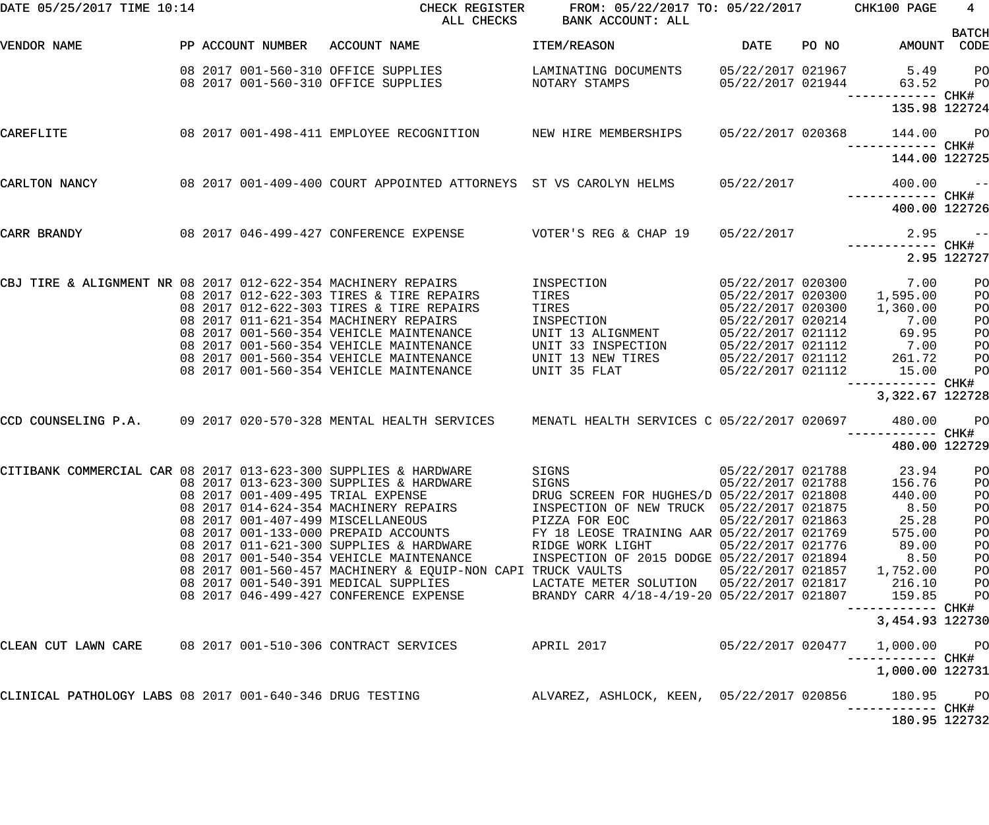| DATE 05/25/2017 TIME 10:14                                    |  |                   | CHECK REGISTER<br>ALL CHECKS                                                                                 | FROM: 05/22/2017 TO: 05/22/2017 CHK100 PAGE<br>BANK ACCOUNT: ALL                        |                                        |       |                                    | 4                           |
|---------------------------------------------------------------|--|-------------------|--------------------------------------------------------------------------------------------------------------|-----------------------------------------------------------------------------------------|----------------------------------------|-------|------------------------------------|-----------------------------|
| VENDOR NAME                                                   |  | PP ACCOUNT NUMBER | ACCOUNT NAME                                                                                                 | <b>ITEM/REASON</b>                                                                      | <b>DATE</b>                            | PO NO |                                    | <b>BATCH</b><br>AMOUNT CODE |
|                                                               |  |                   | 08 2017 001-560-310 OFFICE SUPPLIES<br>08 2017 001-560-310 OFFICE SUPPLIES                                   | LAMINATING DOCUMENTS<br>NOTARY STAMPS                                                   | 05/22/2017 021967<br>05/22/2017 021944 |       | 5.49<br>63.52<br>----------- CHK#  | PO<br>PO                    |
|                                                               |  |                   |                                                                                                              |                                                                                         |                                        |       | 135.98 122724                      |                             |
| CAREFLITE                                                     |  |                   | 08 2017 001-498-411 EMPLOYEE RECOGNITION NEW HIRE MEMBERSHIPS                                                |                                                                                         | 05/22/2017 020368                      |       | 144.00                             | <b>PO</b>                   |
|                                                               |  |                   |                                                                                                              |                                                                                         |                                        |       | 144.00 122725                      |                             |
| CARLTON NANCY                                                 |  |                   | 08 2017 001-409-400 COURT APPOINTED ATTORNEYS ST VS CAROLYN HELMS                                            |                                                                                         | 05/22/2017                             |       | 400.00                             | $\sim$ $ -$                 |
|                                                               |  |                   |                                                                                                              |                                                                                         |                                        |       | 400.00 122726                      |                             |
| CARR BRANDY                                                   |  |                   | 08 2017 046-499-427 CONFERENCE EXPENSE                                                                       | VOTER'S REG & CHAP 19                                                                   | 05/22/2017                             |       | 2.95                               | $\sim$ $ -$                 |
|                                                               |  |                   |                                                                                                              |                                                                                         |                                        |       |                                    | 2.95 122727                 |
| CBJ TIRE & ALIGNMENT NR 08 2017 012-622-354 MACHINERY REPAIRS |  |                   | 08 2017 012-622-303 TIRES & TIRE REPAIRS                                                                     | INSPECTION<br>TIRES                                                                     | 05/22/2017 020300                      |       | 05/22/2017 020300 7.00<br>1,595.00 | PO<br>P <sub>O</sub>        |
|                                                               |  |                   | 08 2017 012-622-303 TIRES & TIRE REPAIRS<br>08 2017 011-621-354 MACHINERY REPAIRS                            | TIRES<br>INSPECTION                                                                     | 05/22/2017 020300<br>05/22/2017 020214 |       | 1,360.00<br>7.00                   | PO<br>PO                    |
|                                                               |  |                   | 08 2017 001-560-354 VEHICLE MAINTENANCE                                                                      | UNIT 13 ALIGNMENT                                                                       | 05/22/2017 021112                      |       | 69.95                              | PO                          |
|                                                               |  |                   | 08 2017 001-560-354 VEHICLE MAINTENANCE                                                                      | UNIT 33 INSPECTION                                                                      | 05/22/2017 021112                      |       | 7.00                               | PO                          |
|                                                               |  |                   | 08 2017 001-560-354 VEHICLE MAINTENANCE                                                                      | UNIT 13 NEW TIRES                                                                       | 05/22/2017 021112                      |       | 261.72                             | PO                          |
|                                                               |  |                   | 08 2017 001-560-354 VEHICLE MAINTENANCE                                                                      | UNIT 35 FLAT                                                                            | 05/22/2017 021112                      |       | 15.00<br>------------ CHK#         | P <sub>O</sub>              |
|                                                               |  |                   |                                                                                                              |                                                                                         |                                        |       | 3,322.67 122728                    |                             |
|                                                               |  |                   | CCD COUNSELING P.A. 09 2017 020-570-328 MENTAL HEALTH SERVICES MENATL HEALTH SERVICES C 05/22/2017 020697    |                                                                                         |                                        |       | 480.00                             | <b>PO</b>                   |
|                                                               |  |                   |                                                                                                              |                                                                                         |                                        |       | 480.00 122729                      |                             |
|                                                               |  |                   | CITIBANK COMMERCIAL CAR 08 2017 013-623-300 SUPPLIES & HARDWARE                                              | SIGNS                                                                                   | 05/22/2017 021788                      |       | 23.94 PO                           |                             |
|                                                               |  |                   | 08 2017 013-623-300 SUPPLIES & HARDWARE                                                                      | SIGNS                                                                                   | 05/22/2017 021788                      |       | 156.76                             | PO                          |
|                                                               |  |                   | 08 2017 001-409-495 TRIAL EXPENSE<br>08  2017  014-624-354  MACHINERY REPAIRS                                | DRUG SCREEN FOR HUGHES/D 05/22/2017 021808<br>INSPECTION OF NEW TRUCK 05/22/2017 021875 |                                        |       | 440.00<br>8.50                     | PO<br>PO                    |
|                                                               |  |                   | 08 2017 001-407-499 MISCELLANEOUS                                                                            | PIZZA FOR EOC                                                                           | 05/22/2017 021863                      |       | 25.28                              | PO                          |
|                                                               |  |                   | 08  2017  001-133-000  PREPAID  ACCOUNTS                                                                     | FY 18 LEOSE TRAINING AAR 05/22/2017 021769                                              |                                        |       | 575.00                             | PO                          |
|                                                               |  |                   | 08 2017 011-621-300 SUPPLIES & HARDWARE                                                                      | RIDGE WORK LIGHT                                                                        | 05/22/2017 021776                      |       | 89.00                              | PO                          |
|                                                               |  |                   | 08 2017 001-540-354 VEHICLE MAINTENANCE                                                                      | INSPECTION OF 2015 DODGE 05/22/2017 021894                                              |                                        |       | 8.50                               | PO                          |
|                                                               |  |                   | 08 2017 001-560-457 MACHINERY & EQUIP-NON CAPI TRUCK VAULTS                                                  |                                                                                         |                                        |       | 05/22/2017 021857 1,752.00         | PO                          |
|                                                               |  |                   | 08 2017 001-540-391 MEDICAL SUPPLIES                                                                         | LACTATE METER SOLUTION 05/22/2017 021817                                                |                                        |       | 216.10                             | PO                          |
|                                                               |  |                   | 08 2017 046-499-427 CONFERENCE EXPENSE                                                                       | BRANDY CARR 4/18-4/19-20 05/22/2017 021807                                              |                                        |       | 159.85                             | PO                          |
|                                                               |  |                   |                                                                                                              |                                                                                         |                                        |       | 3,454.93 122730                    |                             |
|                                                               |  |                   | CLEAN CUT LAWN CARE 08 2017 001-510-306 CONTRACT SERVICES APRIL 2017                                         |                                                                                         | 05/22/2017 020477                      |       | 1,000.00                           | <b>PO</b>                   |
|                                                               |  |                   |                                                                                                              |                                                                                         |                                        |       | 1,000.00 122731                    |                             |
|                                                               |  |                   | CLINICAL PATHOLOGY LABS 08 2017 001-640-346 DRUG TESTING           ALVAREZ, ASHLOCK, KEEN, 05/22/2017 020856 |                                                                                         |                                        |       | 180.95                             | <b>PO</b>                   |
|                                                               |  |                   |                                                                                                              |                                                                                         |                                        |       | 180.95 122732                      |                             |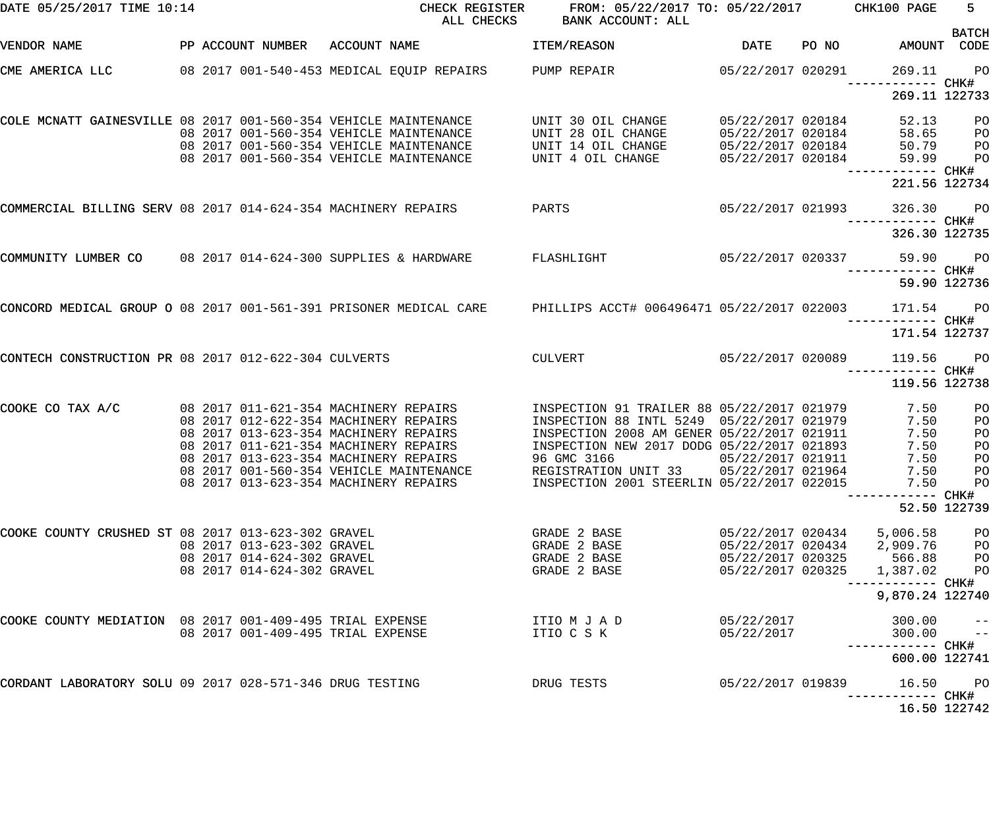| DATE 05/25/2017 TIME 10:14                                        |  |                                          | CHECK REGISTER<br>ALL CHECKS              | FROM: 05/22/2017 TO: 05/22/2017 CHK100 PAGE<br>BANK ACCOUNT: ALL |                                        |                                              | $5 -$<br><b>BATCH</b>            |
|-------------------------------------------------------------------|--|------------------------------------------|-------------------------------------------|------------------------------------------------------------------|----------------------------------------|----------------------------------------------|----------------------------------|
| <b>VENDOR NAME</b>                                                |  | PP ACCOUNT NUMBER ACCOUNT NAME           |                                           | ITEM/REASON                                                      | DATE                                   | PO NO AMOUNT CODE                            |                                  |
| CME AMERICA LLC                                                   |  |                                          | 08 2017 001-540-453 MEDICAL EQUIP REPAIRS | PUMP REPAIR                                                      | 05/22/2017 020291                      | 269.11<br>------------ CHK#                  | $P$ O                            |
|                                                                   |  |                                          |                                           |                                                                  |                                        | 269.11 122733                                |                                  |
| COLE MCNATT GAINESVILLE 08 2017 001-560-354 VEHICLE MAINTENANCE   |  |                                          | 08 2017 001-560-354 VEHICLE MAINTENANCE   | UNIT 30 OIL CHANGE<br>UNIT 28 OIL CHANGE                         | 05/22/2017 020184<br>05/22/2017 020184 | 52.13<br>58.65                               | P <sub>O</sub><br>P <sub>O</sub> |
|                                                                   |  |                                          | 08 2017 001-560-354 VEHICLE MAINTENANCE   | UNIT 14 OIL CHANGE                                               | 05/22/2017 020184                      | 50.79                                        | PO                               |
|                                                                   |  |                                          | 08 2017 001-560-354 VEHICLE MAINTENANCE   | UNIT 4 OIL CHANGE                                                | 05/22/2017 020184                      | 59.99                                        | P <sub>O</sub>                   |
|                                                                   |  |                                          |                                           |                                                                  |                                        | ------------ CHK#<br>221.56 122734           |                                  |
| COMMERCIAL BILLING SERV 08 2017 014-624-354 MACHINERY REPAIRS     |  |                                          |                                           | PARTS                                                            | 05/22/2017 021993                      | 326.30                                       | PO <sub>1</sub>                  |
|                                                                   |  |                                          |                                           |                                                                  |                                        | ------------ CHK#<br>326.30 122735           |                                  |
| COMMUNITY LUMBER CO                                               |  |                                          | 08 2017 014-624-300 SUPPLIES & HARDWARE   | FLASHLIGHT                                                       |                                        | 05/22/2017 020337 59.90<br>------------ CHK# | PO <sub>1</sub>                  |
|                                                                   |  |                                          |                                           |                                                                  |                                        |                                              | 59.90 122736                     |
| CONCORD MEDICAL GROUP O 08 2017 001-561-391 PRISONER MEDICAL CARE |  |                                          |                                           | PHILLIPS ACCT# 006496471 05/22/2017 022003 171.54                |                                        | ------------ CHK#                            | <b>PO</b>                        |
|                                                                   |  |                                          |                                           |                                                                  |                                        | 171.54 122737                                |                                  |
| CONTECH CONSTRUCTION PR 08 2017 012-622-304 CULVERTS              |  |                                          |                                           | CULVERT                                                          | 05/22/2017 020089                      | 119.56<br>------------ CHK#                  | <b>PO</b>                        |
|                                                                   |  |                                          |                                           |                                                                  |                                        | 119.56 122738                                |                                  |
| COOKE CO TAX A/C                                                  |  | 08  2017  011-621-354  MACHINERY REPAIRS |                                           | INSPECTION 91 TRAILER 88 05/22/2017 021979                       |                                        | 7.50                                         | PO                               |
|                                                                   |  | 08 2017 012-622-354 MACHINERY REPAIRS    |                                           | INSPECTION 88 INTL 5249 05/22/2017 021979                        |                                        | 7.50                                         | PO                               |
|                                                                   |  | 08 2017 013-623-354 MACHINERY REPAIRS    |                                           | INSPECTION 2008 AM GENER 05/22/2017 021911                       |                                        | 7.50                                         | PO                               |
|                                                                   |  | 08 2017 011-621-354 MACHINERY REPAIRS    |                                           | INSPECTION NEW 2017 DODG 05/22/2017 021893                       |                                        | 7.50                                         | PO                               |
|                                                                   |  | 08 2017 013-623-354 MACHINERY REPAIRS    |                                           | 96 GMC 3166                                                      | 05/22/2017 021911                      | 7.50                                         | PO                               |
|                                                                   |  |                                          | 08 2017 001-560-354 VEHICLE MAINTENANCE   | REGISTRATION UNIT 33 05/22/2017 021964                           |                                        | 7.50                                         | P <sub>O</sub>                   |
|                                                                   |  | 08 2017 013-623-354 MACHINERY REPAIRS    |                                           | INSPECTION 2001 STEERLIN 05/22/2017 022015                       |                                        | 7.50<br>---------- CHK#                      | P <sub>O</sub>                   |
|                                                                   |  |                                          |                                           |                                                                  |                                        |                                              | 52.50 122739                     |
| COOKE COUNTY CRUSHED ST 08 2017 013-623-302 GRAVEL                |  |                                          |                                           | GRADE 2 BASE                                                     | 05/22/2017 020434                      | 5,006.58                                     | P <sub>O</sub>                   |
|                                                                   |  | 08 2017 013-623-302 GRAVEL               |                                           | GRADE 2 BASE                                                     | 05/22/2017 020434                      | 2,909.76                                     | PO                               |
|                                                                   |  | 08 2017 014-624-302 GRAVEL               |                                           | GRADE 2 BASE                                                     | 05/22/2017 020325                      | 566.88                                       | P <sub>O</sub>                   |
|                                                                   |  | 08 2017 014-624-302 GRAVEL               |                                           | GRADE 2 BASE                                                     | 05/22/2017 020325                      | 1,387.02                                     | P <sub>O</sub>                   |
|                                                                   |  |                                          |                                           |                                                                  |                                        | 9,870.24 122740                              |                                  |
| COOKE COUNTY MEDIATION 08 2017 001-409-495 TRIAL EXPENSE          |  |                                          |                                           | ITIO M J A D                                                     | 05/22/2017                             | 300.00                                       | $\qquad \qquad -$                |
|                                                                   |  | 08 2017 001-409-495 TRIAL EXPENSE        |                                           | ITIO C S K                                                       | 05/22/2017                             | 300.00                                       | $\qquad \qquad -$                |
|                                                                   |  |                                          |                                           |                                                                  |                                        | 600.00 122741                                |                                  |
| CORDANT LABORATORY SOLU 09 2017 028-571-346 DRUG TESTING          |  |                                          |                                           | DRUG TESTS                                                       | 05/22/2017 019839                      | 16.50                                        | P <sub>O</sub>                   |
|                                                                   |  |                                          |                                           |                                                                  |                                        | 16.50 122742                                 |                                  |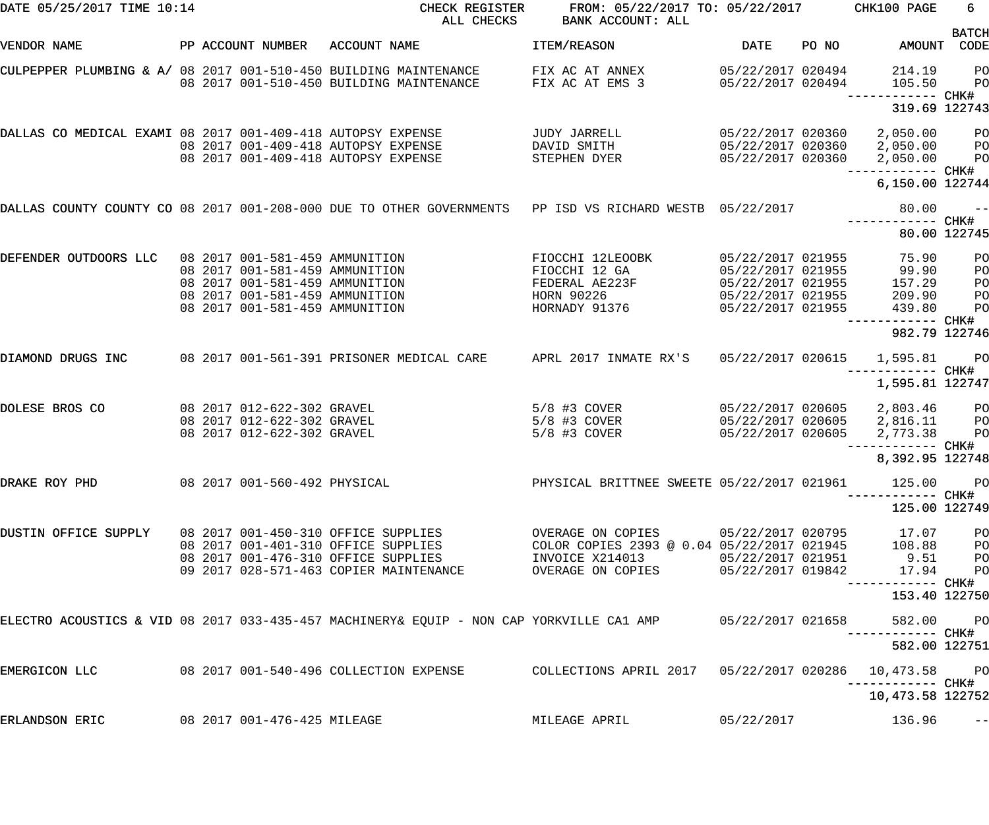| DATE 05/25/2017 TIME 10:14                                       |  | CHECK REGISTER<br>ALL CHECKS                                                                                                                                           | FROM: 05/22/2017 TO: 05/22/2017<br>BANK ACCOUNT: ALL                                                                 |                                                                                                                                 |                                                                                                       | CHK100 PAGE | 6 <sup>1</sup>                                        |                                                                      |
|------------------------------------------------------------------|--|------------------------------------------------------------------------------------------------------------------------------------------------------------------------|----------------------------------------------------------------------------------------------------------------------|---------------------------------------------------------------------------------------------------------------------------------|-------------------------------------------------------------------------------------------------------|-------------|-------------------------------------------------------|----------------------------------------------------------------------|
| VENDOR NAME                                                      |  | PP ACCOUNT NUMBER                                                                                                                                                      | ACCOUNT NAME                                                                                                         | ITEM/REASON                                                                                                                     | <b>DATE</b>                                                                                           | PO NO       | AMOUNT                                                | <b>BATCH</b><br>CODE                                                 |
| CULPEPPER PLUMBING & A/ 08 2017 001-510-450 BUILDING MAINTENANCE |  |                                                                                                                                                                        | 08 2017 001-510-450 BUILDING MAINTENANCE                                                                             | FIX AC AT ANNEX<br>FIX AC AT EMS 3                                                                                              | 05/22/2017 020494<br>05/22/2017 020494                                                                |             | 214.19<br>105.50                                      | P <sub>O</sub><br>P <sub>O</sub>                                     |
|                                                                  |  |                                                                                                                                                                        |                                                                                                                      |                                                                                                                                 |                                                                                                       |             | 319.69 122743                                         |                                                                      |
| DALLAS CO MEDICAL EXAMI 08 2017 001-409-418 AUTOPSY EXPENSE      |  |                                                                                                                                                                        | 08 2017 001-409-418 AUTOPSY EXPENSE<br>08 2017 001-409-418 AUTOPSY EXPENSE                                           | JUDY JARRELL<br>DAVID SMITH<br>STEPHEN DYER                                                                                     | 05/22/2017 020360<br>05/22/2017 020360<br>05/22/2017 020360                                           |             | 2,050.00<br>2,050.00<br>2,050.00<br>------------ CHK# | $P$ O<br>P <sub>O</sub><br>P <sub>O</sub>                            |
|                                                                  |  |                                                                                                                                                                        |                                                                                                                      |                                                                                                                                 |                                                                                                       |             | 6,150.00 122744                                       |                                                                      |
|                                                                  |  |                                                                                                                                                                        | DALLAS COUNTY COUNTY CO 08 2017 001-208-000 DUE TO OTHER GOVERNMENTS PP ISD VS RICHARD WESTB 05/22/2017              |                                                                                                                                 |                                                                                                       |             | 80.00<br>------------ CHK#                            | $- -$                                                                |
|                                                                  |  |                                                                                                                                                                        |                                                                                                                      |                                                                                                                                 |                                                                                                       |             |                                                       | 80.00 122745                                                         |
| DEFENDER OUTDOORS LLC                                            |  | 08 2017 001-581-459 AMMUNITION<br>08 2017 001-581-459 AMMUNITION<br>08 2017 001-581-459 AMMUNITION<br>08 2017 001-581-459 AMMUNITION<br>08 2017 001-581-459 AMMUNITION |                                                                                                                      | FIOCCHI 12LEOOBK<br>FIOCCHI 12 GA<br>FEDERAL AE223F<br>HORN 90226<br>HORNADY 91376                                              | 05/22/2017 021955<br>05/22/2017 021955<br>05/22/2017 021955<br>05/22/2017 021955<br>05/22/2017 021955 |             | 75.90<br>99.90<br>157.29<br>209.90<br>439.80          | PO<br>PO<br>PO<br>PO<br>PO                                           |
|                                                                  |  |                                                                                                                                                                        |                                                                                                                      |                                                                                                                                 |                                                                                                       |             | 982.79 122746                                         |                                                                      |
| DIAMOND DRUGS INC                                                |  |                                                                                                                                                                        | 08  2017  001-561-391  PRISONER MEDICAL CARE                                                                         | APRL 2017 INMATE RX'S                                                                                                           | 05/22/2017 020615                                                                                     |             | 1,595.81<br>--------- CHK#<br>1,595.81 122747         | P <sub>O</sub>                                                       |
| DOLESE BROS CO                                                   |  | 08 2017 012-622-302 GRAVEL<br>08 2017 012-622-302 GRAVEL<br>08 2017 012-622-302 GRAVEL                                                                                 |                                                                                                                      | 5/8 #3 COVER<br>5/8 #3 COVER<br>$5/8$ #3 COVER                                                                                  | 05/22/2017 020605<br>05/22/2017 020605<br>05/22/2017 020605                                           |             | 2,803.46<br>2,816.11<br>2,773.38                      | <b>PO</b><br>P <sub>O</sub><br>P <sub>O</sub><br>--- CHK#            |
|                                                                  |  |                                                                                                                                                                        |                                                                                                                      |                                                                                                                                 |                                                                                                       |             | 8,392.95 122748                                       |                                                                      |
| DRAKE ROY PHD                                                    |  | 08 2017 001-560-492 PHYSICAL                                                                                                                                           |                                                                                                                      | PHYSICAL BRITTNEE SWEETE 05/22/2017 021961                                                                                      |                                                                                                       |             | 125.00 PO<br>-----------  CHK#<br>125.00 122749       |                                                                      |
| DUSTIN OFFICE SUPPLY 08 2017 001-450-310 OFFICE SUPPLIES         |  |                                                                                                                                                                        | 08 2017 001-401-310 OFFICE SUPPLIES<br>08 2017 001-476-310 OFFICE SUPPLIES<br>09 2017 028-571-463 COPIER MAINTENANCE | OVERAGE ON COPIES 05/22/2017 020795 17.07<br>COLOR COPIES 2393 @ 0.04 05/22/2017 021945<br>INVOICE X214013<br>OVERAGE ON COPIES | 05/22/2017 019842                                                                                     |             | 108.88<br>05/22/2017 021951 9.51<br>17.94             | P <sub>O</sub><br>P <sub>O</sub><br>P <sub>O</sub><br>P <sub>O</sub> |
|                                                                  |  |                                                                                                                                                                        |                                                                                                                      |                                                                                                                                 |                                                                                                       |             | —————————— CHK#<br>153.40 122750                      |                                                                      |
|                                                                  |  |                                                                                                                                                                        | ELECTRO ACOUSTICS & VID 08 2017 033-435-457 MACHINERY& EQUIP - NON CAP YORKVILLE CA1 AMP     05/22/2017 021658       |                                                                                                                                 |                                                                                                       |             | 582.00 PO                                             |                                                                      |
|                                                                  |  |                                                                                                                                                                        |                                                                                                                      |                                                                                                                                 |                                                                                                       |             | 582.00 122751                                         |                                                                      |
| EMERGICON LLC                                                    |  |                                                                                                                                                                        | 08 2017 001-540-496 COLLECTION EXPENSE                                                                               |                                                                                                                                 |                                                                                                       |             |                                                       |                                                                      |
|                                                                  |  |                                                                                                                                                                        |                                                                                                                      |                                                                                                                                 |                                                                                                       |             | 10,473.58 122752                                      |                                                                      |
| ERLANDSON ERIC                                                   |  | 08 2017 001-476-425 MILEAGE                                                                                                                                            |                                                                                                                      | MILEAGE APRIL                                                                                                                   | 05/22/2017                                                                                            |             | 136.96                                                | $\qquad \qquad -$                                                    |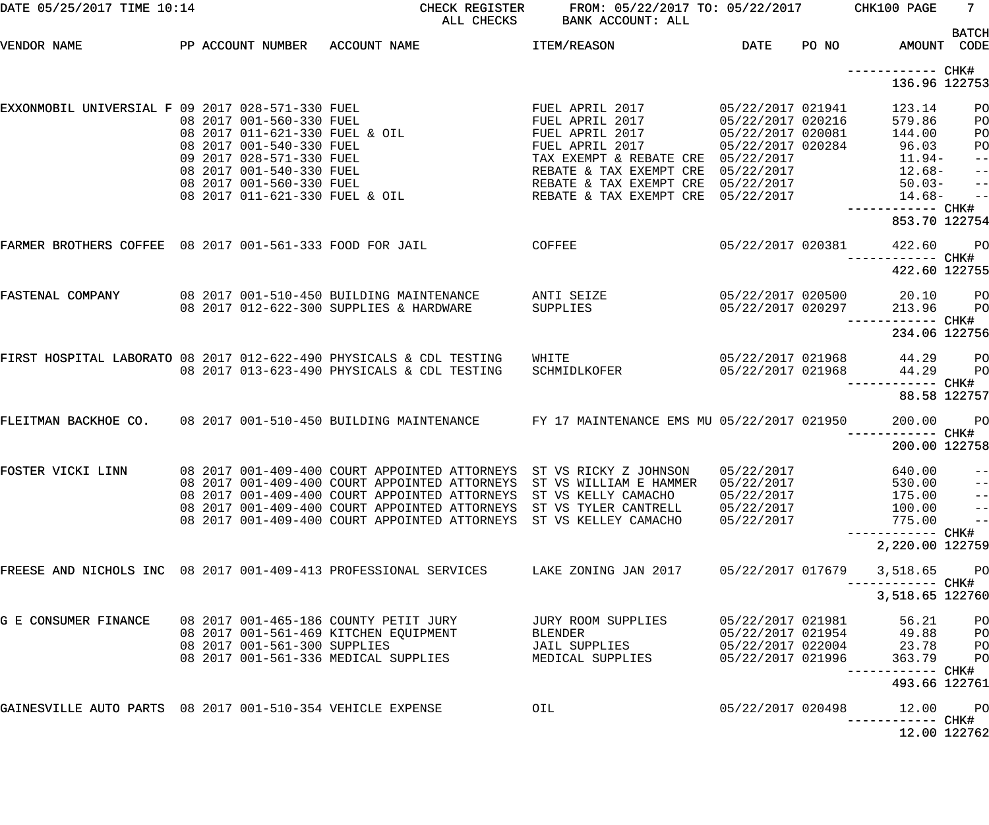| DATE 05/25/2017 TIME 10:14                                                |  |                              |                                                                                                                        | CHECK REGISTER<br>ALL CHECKS                                                                                                                                                                                                             | FROM: 05/22/2017 TO: 05/22/2017 CHK100 PAGE<br>BANK ACCOUNT: ALL                                                                                                                                                                                                                                               |                                                                                  |       |                                                                                                   | 7 <sup>7</sup>                                               |
|---------------------------------------------------------------------------|--|------------------------------|------------------------------------------------------------------------------------------------------------------------|------------------------------------------------------------------------------------------------------------------------------------------------------------------------------------------------------------------------------------------|----------------------------------------------------------------------------------------------------------------------------------------------------------------------------------------------------------------------------------------------------------------------------------------------------------------|----------------------------------------------------------------------------------|-------|---------------------------------------------------------------------------------------------------|--------------------------------------------------------------|
| VENDOR NAME                                                               |  |                              | PP ACCOUNT NUMBER ACCOUNT NAME                                                                                         |                                                                                                                                                                                                                                          | <b>ITEM/REASON</b>                                                                                                                                                                                                                                                                                             | <b>DATE</b>                                                                      | PO NO |                                                                                                   | <b>BATCH</b><br>AMOUNT CODE                                  |
|                                                                           |  |                              |                                                                                                                        |                                                                                                                                                                                                                                          |                                                                                                                                                                                                                                                                                                                |                                                                                  |       | ------------ CHK#<br>136.96 122753                                                                |                                                              |
| EXXONMOBIL UNIVERSIAL F 09 2017 028-571-330 FUEL                          |  |                              |                                                                                                                        | 09 2017 028-571-330 FUEL<br>08 2017 001-560-330 FUEL<br>08 2017 011-621-330 FUEL & OIL<br>08 2017 001-540-330 FUEL<br>09 2017 028-571-330 FUEL<br>08 2017 001-540-330 FUEL<br>08 2017 001-560-330 FUEL<br>08 2017 011-621-330 FUEL & OIL | FUEL APRIL 2017<br>FUEL APRIL 2017<br>FUEL APRIL 2017<br>FUEL APRIL 2017<br>FUEL APRIL 2017<br>TAX EXEMPT & REBATE CRE 05/22/2017<br>REBATE & TAX EXEMPT CRE 05/22/2017<br>REBATE & TAX EXEMPT CRE 05/22/2017<br>REBATE & TAX EXEMPT CRE 05/22/2017                                                            | 05/22/2017 021941<br>05/22/2017 020216<br>05/22/2017 020081<br>05/22/2017 020284 |       | 123.14<br>579.86<br>144.00<br>96.03<br>11.94-<br>12.68-<br>$50.03 -$<br>$14.68-$<br>853.70 122754 | PO<br>PO<br>PO<br>PO<br>$-$ -l<br>$-$ -l<br>$-$ -l<br>$-$ -l |
| FARMER BROTHERS COFFEE 08 2017 001-561-333 FOOD FOR JAIL                  |  |                              |                                                                                                                        | <b>COFFEE</b>                                                                                                                                                                                                                            |                                                                                                                                                                                                                                                                                                                | 05/22/2017 020381                                                                |       | 422.60<br>422.60 122755                                                                           | <b>PO</b>                                                    |
| FASTENAL COMPANY                                                          |  |                              | 08 2017 001-510-450 BUILDING MAINTENANCE<br>08 2017 012-622-300 SUPPLIES & HARDWARE                                    |                                                                                                                                                                                                                                          | ANTI SEIZE<br>SUPPLIES                                                                                                                                                                                                                                                                                         | 05/22/2017 020297                                                                |       | 05/22/2017 020500 20.10 PO<br>213.96<br>234.06 122756                                             | <b>PO</b>                                                    |
| FIRST HOSPITAL LABORATO 08 2017 012-622-490 PHYSICALS & CDL TESTING MHITE |  |                              | 08 2017 013-623-490 PHYSICALS & CDL TESTING                                                                            |                                                                                                                                                                                                                                          | SCHMIDLKOFER                                                                                                                                                                                                                                                                                                   | 05/22/2017 021968<br>05/22/2017 021968                                           |       | 44.29                                                                                             | 44.29 PO<br>PO<br>88.58 122757                               |
| FLEITMAN BACKHOE CO. 08 2017 001-510-450 BUILDING MAINTENANCE             |  |                              |                                                                                                                        |                                                                                                                                                                                                                                          | FY 17 MAINTENANCE EMS MU 05/22/2017 021950                                                                                                                                                                                                                                                                     |                                                                                  |       | 200.00<br>----------- CHK#<br>200.00 122758                                                       | <b>PO</b>                                                    |
| FOSTER VICKI LINN                                                         |  |                              |                                                                                                                        | 08 2017 001-409-400 COURT APPOINTED ATTORNEYS                                                                                                                                                                                            | 08 2017 001-409-400 COURT APPOINTED ATTORNEYS ST VS RICKY Z JOHNSON<br>08 2017 001-409-400 COURT APPOINTED ATTORNEYS ST VS WILLIAM E HAMMER<br>08 2017 001-409-400 COURT APPOINTED ATTORNEYS ST VS KELLY CAMACHO<br>08 2017 001-409-400 COURT APPOINTED ATTORNEYS ST VS TYLER CANTRELL<br>ST VS KELLEY CAMACHO | 05/22/2017<br>05/22/2017<br>05/22/2017<br>05/22/2017<br>05/22/2017               |       | 640.00<br>530.00<br>175.00<br>100.00<br>775.00<br>----------- CHK#<br>2,220.00 122759             | $- -$<br>$- -$<br>$- -$<br>$-$ -<br>$-$ -                    |
| FREESE AND NICHOLS INC 08 2017 001-409-413 PROFESSIONAL SERVICES          |  |                              |                                                                                                                        |                                                                                                                                                                                                                                          | LAKE ZONING JAN 2017                                                                                                                                                                                                                                                                                           | 05/22/2017 017679                                                                |       | 3,518.65<br>------------ CHK#<br>3,518.65 122760                                                  | <b>PO</b>                                                    |
| G E CONSUMER FINANCE                                                      |  | 08 2017 001-561-300 SUPPLIES | 08 2017 001-465-186 COUNTY PETIT JURY<br>08 2017 001-561-469 KITCHEN EQUIPMENT<br>08 2017 001-561-336 MEDICAL SUPPLIES |                                                                                                                                                                                                                                          | JURY ROOM SUPPLIES<br><b>BLENDER</b><br>JAIL SUPPLIES<br>MEDICAL SUPPLIES                                                                                                                                                                                                                                      | 05/22/2017 021981<br>05/22/2017 021954<br>05/22/2017 022004<br>05/22/2017 021996 |       | 56.21<br>49.88<br>23.78<br>363.79<br>------------ CHK#                                            | PO<br>PO<br>PO<br>PO                                         |
| GAINESVILLE AUTO PARTS 08 2017 001-510-354 VEHICLE EXPENSE                |  |                              |                                                                                                                        |                                                                                                                                                                                                                                          | OIL                                                                                                                                                                                                                                                                                                            | 05/22/2017 020498                                                                |       | 493.66 122761<br>12.00<br>------ CHK#                                                             | <b>PO</b>                                                    |
|                                                                           |  |                              |                                                                                                                        |                                                                                                                                                                                                                                          |                                                                                                                                                                                                                                                                                                                |                                                                                  |       |                                                                                                   | 12.00 122762                                                 |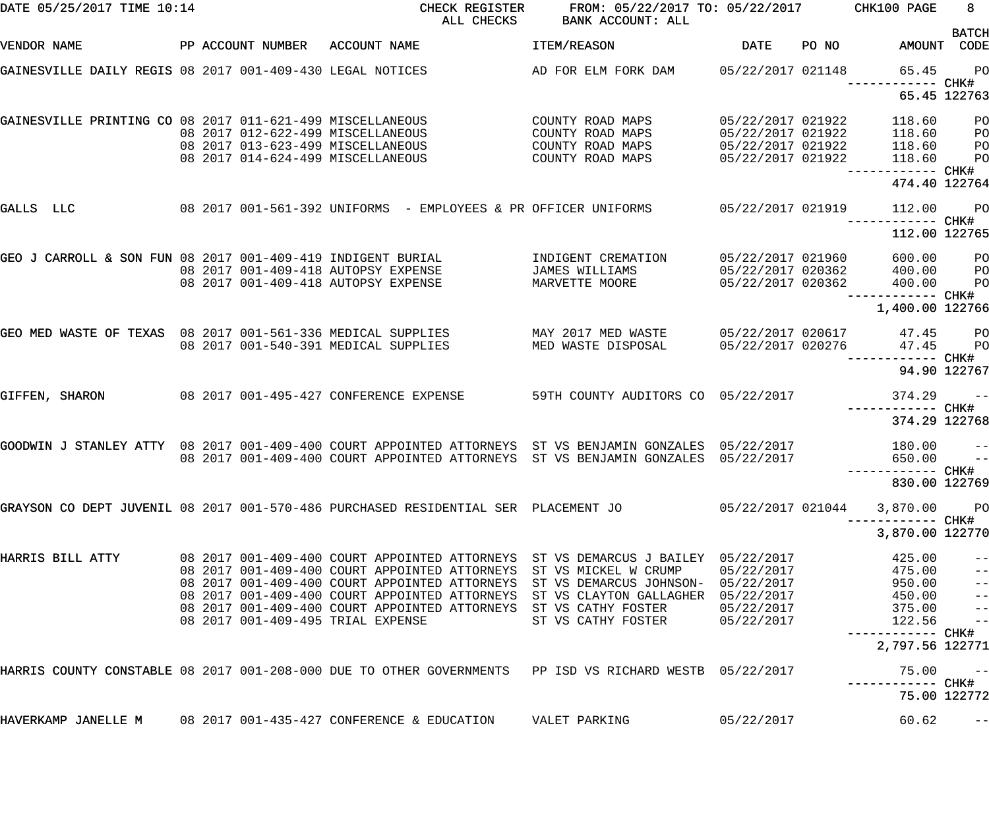| DATE 05/25/2017 TIME 10:14                                  |  | CHECK REGISTER<br>ALL CHECKS                                                                            | FROM: 05/22/2017 TO: 05/22/2017<br>BANK ACCOUNT: ALL |                   |       | CHK100 PAGE                          | 8<br><b>BATCH</b> |
|-------------------------------------------------------------|--|---------------------------------------------------------------------------------------------------------|------------------------------------------------------|-------------------|-------|--------------------------------------|-------------------|
| VENDOR NAME                                                 |  | PP ACCOUNT NUMBER ACCOUNT NAME                                                                          | ITEM/REASON                                          | DATE              | PO NO | AMOUNT                               | CODE              |
| GAINESVILLE DAILY REGIS 08 2017 001-409-430 LEGAL NOTICES   |  |                                                                                                         | AD FOR ELM FORK DAM 05/22/2017 021148                |                   |       | 65.45                                | PO<br>CHK#        |
|                                                             |  |                                                                                                         |                                                      |                   |       | 65.45 122763                         |                   |
| GAINESVILLE PRINTING CO 08 2017 011-621-499 MISCELLANEOUS   |  |                                                                                                         | COUNTY ROAD MAPS                                     | 05/22/2017 021922 |       | 118.60                               | PO                |
|                                                             |  | 08 2017 012-622-499 MISCELLANEOUS                                                                       | COUNTY ROAD MAPS                                     | 05/22/2017 021922 |       | 118.60                               | PO                |
|                                                             |  | 08 2017 013-623-499 MISCELLANEOUS                                                                       | COUNTY ROAD MAPS                                     | 05/22/2017 021922 |       | 118.60                               | PO                |
|                                                             |  | 08 2017 014-624-499 MISCELLANEOUS                                                                       | COUNTY ROAD MAPS                                     | 05/22/2017 021922 |       | 118.60<br>------------ CHK#          | PO                |
|                                                             |  |                                                                                                         |                                                      |                   |       | 474.40 122764                        |                   |
| GALLS LLC                                                   |  | 08 2017 001-561-392 UNIFORMS - EMPLOYEES & PR OFFICER UNIFORMS                                          |                                                      | 05/22/2017 021919 |       | 112.00<br>------------ CHK#          | $P$ O             |
|                                                             |  |                                                                                                         |                                                      |                   |       | 112.00 122765                        |                   |
| GEO J CARROLL & SON FUN 08 2017 001-409-419 INDIGENT BURIAL |  |                                                                                                         | INDIGENT CREMATION                                   | 05/22/2017 021960 |       | 600.00                               | P <sub>O</sub>    |
|                                                             |  | 08 2017 001-409-418 AUTOPSY EXPENSE                                                                     | JAMES WILLIAMS                                       | 05/22/2017 020362 |       | 400.00                               | P <sub>O</sub>    |
|                                                             |  | 08 2017 001-409-418 AUTOPSY EXPENSE                                                                     | MARVETTE MOORE                                       | 05/22/2017 020362 |       | 400.00                               | P <sub>O</sub>    |
|                                                             |  |                                                                                                         |                                                      |                   |       | ------------ CHK#<br>1,400.00 122766 |                   |
|                                                             |  | GEO MED WASTE OF TEXAS 08 2017 001-561-336 MEDICAL SUPPLIES                                             | MAY 2017 MED WASTE                                   | 05/22/2017 020617 |       | 47.45                                | $P$ O             |
|                                                             |  | 08 2017 001-540-391 MEDICAL SUPPLIES                                                                    | MED WASTE DISPOSAL                                   | 05/22/2017 020276 |       | 47.45<br>------ CHK#                 | P <sub>O</sub>    |
|                                                             |  |                                                                                                         |                                                      |                   |       | 94.90 122767                         |                   |
| GIFFEN, SHARON                                              |  | 08 2017 001-495-427 CONFERENCE EXPENSE                                                                  | 59TH COUNTY AUDITORS CO 05/22/2017                   |                   |       | 374.29                               | $ -$              |
|                                                             |  |                                                                                                         |                                                      |                   |       | ---------<br>374.29 122768           | CHK#              |
|                                                             |  | GOODWIN J STANLEY ATTY 08 2017 001-409-400 COURT APPOINTED ATTORNEYS ST VS BENJAMIN GONZALES 05/22/2017 |                                                      |                   |       | 180.00                               | $\pm$ $\pm$       |
|                                                             |  | 08 2017 001-409-400 COURT APPOINTED ATTORNEYS                                                           | ST VS BENJAMIN GONZALES 05/22/2017                   |                   |       | 650.00                               | $\equiv$ $\equiv$ |
|                                                             |  |                                                                                                         |                                                      |                   |       | 830.00 122769                        |                   |
|                                                             |  | GRAYSON CO DEPT JUVENIL 08 2017 001-570-486 PURCHASED RESIDENTIAL SER  PLACEMENT JO                     |                                                      | 05/22/2017 021044 |       | 3,870.00                             | P <sub>O</sub>    |
|                                                             |  |                                                                                                         |                                                      |                   |       | —————————— CHK#<br>3,870.00 122770   |                   |
| HARRIS BILL ATTY                                            |  | 08 2017 001-409-400 COURT APPOINTED ATTORNEYS ST VS DEMARCUS J BAILEY 05/22/2017                        |                                                      |                   |       | 425.00                               | $ -$              |
|                                                             |  | 08 2017 001-409-400 COURT APPOINTED ATTORNEYS                                                           | ST VS MICKEL W CRUMP                                 | 05/22/2017        |       | 475.00                               | $-$               |
|                                                             |  | 08 2017 001-409-400 COURT APPOINTED ATTORNEYS                                                           | ST VS DEMARCUS JOHNSON- 05/22/2017                   |                   |       | 950.00                               | $-$               |
|                                                             |  | 08 2017 001-409-400 COURT APPOINTED ATTORNEYS                                                           | ST VS CLAYTON GALLAGHER 05/22/2017                   |                   |       | 450.00                               | $\qquad \qquad -$ |
|                                                             |  | 08 2017 001-409-400 COURT APPOINTED ATTORNEYS                                                           | ST VS CATHY FOSTER                                   | 05/22/2017        |       | 375.00                               | $-$               |
|                                                             |  | 08 2017 001-409-495 TRIAL EXPENSE                                                                       | ST VS CATHY FOSTER                                   | 05/22/2017        |       | 122.56<br>—————————— CHK#            | $\frac{1}{2}$     |
|                                                             |  |                                                                                                         |                                                      |                   |       | 2,797.56 122771                      |                   |
|                                                             |  | HARRIS COUNTY CONSTABLE 08 2017 001-208-000 DUE TO OTHER GOVERNMENTS PP ISD VS RICHARD WESTB 05/22/2017 |                                                      |                   |       | 75.00                                | $- -$             |
|                                                             |  |                                                                                                         |                                                      |                   |       | 75.00 122772                         |                   |
| HAVERKAMP JANELLE M                                         |  | 08 2017 001-435-427 CONFERENCE & EDUCATION                                                              | VALET PARKING                                        | 05/22/2017        |       | 60.62                                | $-\:\:-$          |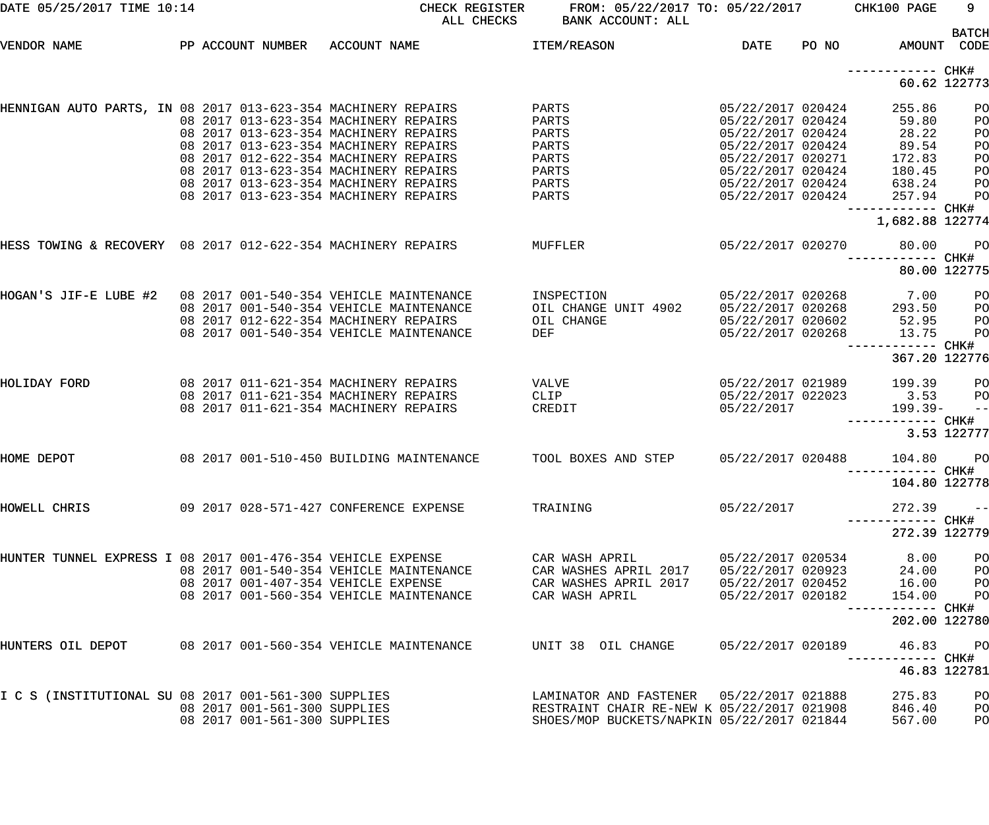| DATE 05/25/2017 TIME 10:14                                    |  |                                                                                                                                                                                                                                                    |              | CHECK REGISTER<br>ALL CHECKS | FROM: 05/22/2017 TO: 05/22/2017<br>BANK ACCOUNT: ALL                                                                                 |                                                                                                                                                 |       | CHK100 PAGE                                                     | 9                                      |
|---------------------------------------------------------------|--|----------------------------------------------------------------------------------------------------------------------------------------------------------------------------------------------------------------------------------------------------|--------------|------------------------------|--------------------------------------------------------------------------------------------------------------------------------------|-------------------------------------------------------------------------------------------------------------------------------------------------|-------|-----------------------------------------------------------------|----------------------------------------|
| VENDOR NAME                                                   |  | PP ACCOUNT NUMBER                                                                                                                                                                                                                                  | ACCOUNT NAME |                              | <b>ITEM/REASON</b>                                                                                                                   | DATE                                                                                                                                            | PO NO | AMOUNT                                                          | <b>BATCH</b><br>CODE                   |
|                                                               |  |                                                                                                                                                                                                                                                    |              |                              |                                                                                                                                      |                                                                                                                                                 |       | ------------ CHK#                                               | 60.62 122773                           |
| HENNIGAN AUTO PARTS, IN 08 2017 013-623-354 MACHINERY REPAIRS |  | 08 2017 013-623-354 MACHINERY REPAIRS<br>08 2017 013-623-354 MACHINERY REPAIRS<br>08 2017 013-623-354 MACHINERY REPAIRS<br>08 2017 012-622-354 MACHINERY REPAIRS<br>08 2017 013-623-354 MACHINERY REPAIRS<br>08 2017 013-623-354 MACHINERY REPAIRS |              |                              | PARTS<br>PARTS<br>PARTS<br>PARTS<br>PARTS<br>PARTS<br>PARTS                                                                          | 05/22/2017 020424<br>05/22/2017 020424<br>05/22/2017 020424<br>05/22/2017 020424<br>05/22/2017 020271<br>05/22/2017 020424<br>05/22/2017 020424 |       | 255.86<br>59.80<br>28.22<br>89.54<br>172.83<br>180.45<br>638.24 | PO<br>PO<br>PO<br>PO<br>PO<br>PO<br>PO |
|                                                               |  | 08 2017 013-623-354 MACHINERY REPAIRS                                                                                                                                                                                                              |              |                              | PARTS                                                                                                                                | 05/22/2017 020424                                                                                                                               |       | 257.94<br>------------ CHK#<br>1,682.88 122774                  | PO                                     |
| HESS TOWING & RECOVERY 08 2017 012-622-354 MACHINERY REPAIRS  |  |                                                                                                                                                                                                                                                    |              |                              | MUFFLER                                                                                                                              | 05/22/2017 020270                                                                                                                               |       | 80.00<br>----------- CHK#                                       | PO<br>80.00 122775                     |
| HOGAN'S JIF-E LUBE #2                                         |  | 08 2017 001-540-354 VEHICLE MAINTENANCE<br>08 2017 001-540-354 VEHICLE MAINTENANCE<br>08 2017 012-622-354 MACHINERY REPAIRS<br>08 2017 001-540-354 VEHICLE MAINTENANCE                                                                             |              |                              | INSPECTION<br>OIL CHANGE UNIT 4902<br>OIL CHANGE<br>DEF                                                                              | 05/22/2017 020268<br>05/22/2017 020268<br>05/22/2017 020602<br>05/22/2017 020268                                                                |       | 7.00<br>293.50<br>52.95<br>13.75<br>------------ CHK#           | PO<br>PO<br>PO<br>PO                   |
| HOLIDAY FORD                                                  |  | 08 2017 011-621-354 MACHINERY REPAIRS<br>08 2017 011-621-354 MACHINERY REPAIRS<br>08 2017 011-621-354 MACHINERY REPAIRS                                                                                                                            |              |                              | VALVE<br>CLIP<br>CREDIT                                                                                                              | 05/22/2017 021989<br>05/22/2017 022023<br>05/22/2017                                                                                            |       | 367.20 122776<br>199.39<br>3.53<br>199.39-<br>------------ CHK# | PO<br>PO<br>$- -$                      |
| HOME DEPOT                                                    |  | 08 2017 001-510-450 BUILDING MAINTENANCE                                                                                                                                                                                                           |              |                              | TOOL BOXES AND STEP                                                                                                                  | 05/22/2017 020488                                                                                                                               |       | 104.80<br>----------- CHK#                                      | 3.53 122777<br>PO                      |
| HOWELL CHRIS                                                  |  | 09 2017 028-571-427 CONFERENCE EXPENSE                                                                                                                                                                                                             |              |                              | TRAINING                                                                                                                             | 05/22/2017                                                                                                                                      |       | 104.80 122778<br>$272.39 - -$<br>272.39 122779                  |                                        |
| HUNTER TUNNEL EXPRESS I 08 2017 001-476-354 VEHICLE EXPENSE   |  | 08 2017 001-540-354 VEHICLE MAINTENANCE<br>08 2017 001-407-354 VEHICLE EXPENSE<br>08 2017 001-560-354 VEHICLE MAINTENANCE                                                                                                                          |              |                              | CAR WASH APRIL<br>CAR WASHES APRIL 2017<br>CAR WASHES APRIL 2017<br>CAR WASH APRIL                                                   | 05/22/2017 020534<br>05/22/2017 020923<br>05/22/2017 020452<br>05/22/2017 020182                                                                |       | 8.00<br>24.00<br>16.00<br>154.00<br>------------ CHK#           | PO<br>PO<br>PO<br>PO                   |
|                                                               |  |                                                                                                                                                                                                                                                    |              |                              | HUNTERS OIL DEPOT     08 2017 001-560-354 VEHICLE MAINTENANCE      UNIT 38 OIL CHANGE                                                | 05/22/2017 020189                                                                                                                               |       | 202.00 122780<br>46.83 PO<br>------------ CHK#                  |                                        |
| I C S (INSTITUTIONAL SU 08 2017 001-561-300 SUPPLIES          |  | 08 2017 001-561-300 SUPPLIES<br>08 2017 001-561-300 SUPPLIES                                                                                                                                                                                       |              |                              | LAMINATOR AND FASTENER 05/22/2017 021888<br>RESTRAINT CHAIR RE-NEW K 05/22/2017 021908<br>SHOES/MOP BUCKETS/NAPKIN 05/22/2017 021844 |                                                                                                                                                 |       | 275.83<br>846.40<br>567.00                                      | 46.83 122781<br>PO<br>PO<br>PO         |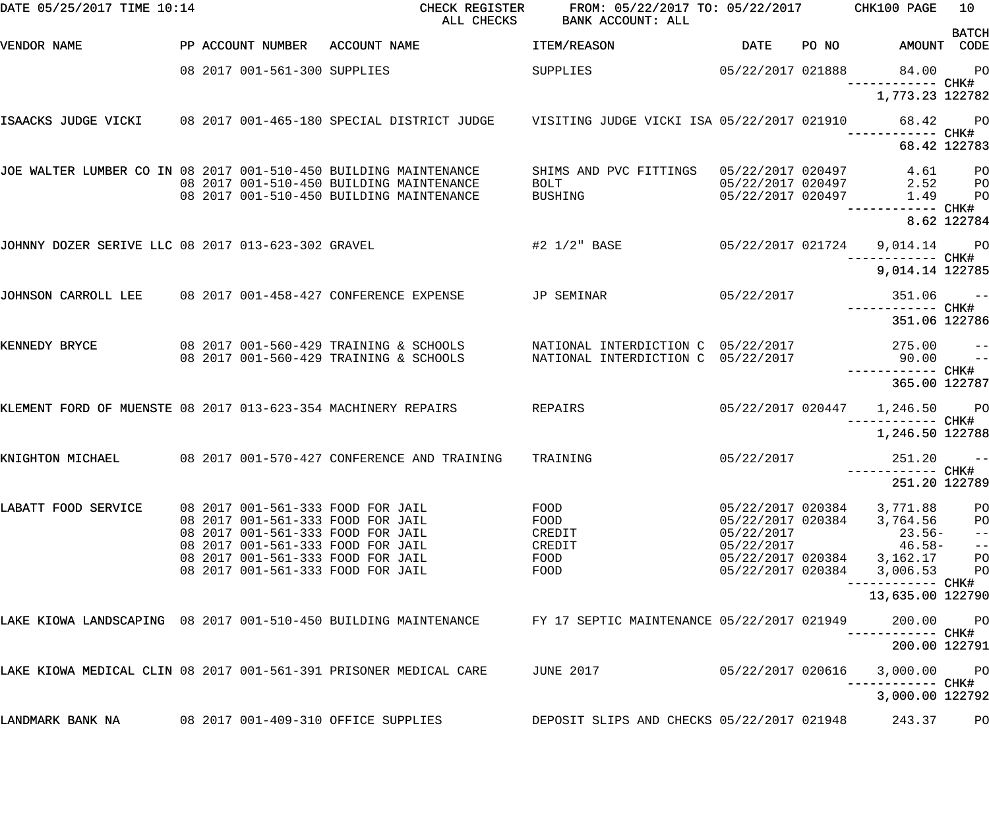| DATE 05/25/2017 TIME 10:14                                        |  |                              | CHECK REGISTER<br>ALL CHECKS                                                                                | FROM: 05/22/2017 TO: 05/22/2017 CHK100 PAGE<br>BANK ACCOUNT: ALL         |                                        |       |                                                  | 10                               |
|-------------------------------------------------------------------|--|------------------------------|-------------------------------------------------------------------------------------------------------------|--------------------------------------------------------------------------|----------------------------------------|-------|--------------------------------------------------|----------------------------------|
| VENDOR NAME                                                       |  | PP ACCOUNT NUMBER            | ACCOUNT NAME                                                                                                | ITEM/REASON                                                              | <b>DATE</b>                            | PO NO | AMOUNT CODE                                      | <b>BATCH</b>                     |
|                                                                   |  | 08 2017 001-561-300 SUPPLIES |                                                                                                             | SUPPLIES                                                                 | 05/22/2017 021888                      |       | 84.00<br>------------ CHK#                       | <b>PO</b>                        |
|                                                                   |  |                              |                                                                                                             |                                                                          |                                        |       | 1,773.23 122782                                  |                                  |
|                                                                   |  |                              | ISAACKS JUDGE VICKI 08 2017 001-465-180 SPECIAL DISTRICT JUDGE 0 VISITING JUDGE VICKI ISA 05/22/2017 021910 |                                                                          |                                        |       | 68.42<br>------------ CHK#                       | <b>PO</b>                        |
|                                                                   |  |                              |                                                                                                             |                                                                          |                                        |       | 68.42 122783                                     |                                  |
| JOE WALTER LUMBER CO IN 08 2017 001-510-450 BUILDING MAINTENANCE  |  |                              | 08 2017 001-510-450 BUILDING MAINTENANCE                                                                    | SHIMS AND PVC FITTINGS 05/22/2017 020497<br>BOLT 05/22/2017 020497       |                                        |       | 4.61<br>2.52                                     | P <sub>O</sub><br>P <sub>O</sub> |
|                                                                   |  |                              | 08 2017 001-510-450 BUILDING MAINTENANCE                                                                    | <b>BUSHING</b>                                                           | 05/22/2017 020497                      |       | 1.49                                             | P <sub>O</sub>                   |
|                                                                   |  |                              |                                                                                                             |                                                                          |                                        |       | —————————— CHK#                                  | 8.62 122784                      |
| JOHNNY DOZER SERIVE LLC 08 2017 013-623-302 GRAVEL                |  |                              |                                                                                                             | #2 1/2" BASE                                                             |                                        |       | 05/22/2017 021724 9,014.14 PO                    |                                  |
|                                                                   |  |                              |                                                                                                             |                                                                          |                                        |       | 9,014.14 122785                                  |                                  |
| JOHNSON CARROLL LEE 08 2017 001-458-427 CONFERENCE EXPENSE        |  |                              |                                                                                                             | JP SEMINAR                                                               | 05/22/2017                             |       | $351.06$ --                                      |                                  |
|                                                                   |  |                              |                                                                                                             |                                                                          |                                        |       | 351.06 122786                                    |                                  |
| KENNEDY BRYCE                                                     |  |                              | 08 2017 001-560-429 TRAINING & SCHOOLS<br>08 2017 001-560-429 TRAINING & SCHOOLS                            | NATIONAL INTERDICTION C 05/22/2017<br>NATIONAL INTERDICTION C 05/22/2017 |                                        |       | 275.00<br>90.00                                  | $-$<br>$\sim$ $-$                |
|                                                                   |  |                              |                                                                                                             |                                                                          |                                        |       | 365.00 122787                                    |                                  |
|                                                                   |  |                              |                                                                                                             |                                                                          |                                        |       |                                                  |                                  |
| KLEMENT FORD OF MUENSTE 08 2017 013-623-354 MACHINERY REPAIRS     |  |                              |                                                                                                             | REPAIRS                                                                  |                                        |       | 05/22/2017 020447 1,246.50 PO<br>—————————— CHK# |                                  |
|                                                                   |  |                              |                                                                                                             |                                                                          |                                        |       | 1,246.50 122788                                  |                                  |
| KNIGHTON MICHAEL                                                  |  |                              | 08 2017 001-570-427 CONFERENCE AND TRAINING                                                                 | TRAINING                                                                 | 05/22/2017                             |       | $251.20 - -$                                     |                                  |
|                                                                   |  |                              |                                                                                                             |                                                                          |                                        |       | 251.20 122789                                    |                                  |
| LABATT FOOD SERVICE                                               |  |                              | 08 2017 001-561-333 FOOD FOR JAIL<br>08 2017 001-561-333 FOOD FOR JAIL                                      | FOOD<br>FOOD                                                             | 05/22/2017 020384<br>05/22/2017 020384 |       | 3,771.88<br>3,764.56                             | PO                               |
|                                                                   |  |                              | 08 2017 001-561-333 FOOD FOR JAIL                                                                           | CREDIT                                                                   | 05/22/2017                             |       | $23.56-$                                         | PO<br>$-\:\:-$                   |
|                                                                   |  |                              | 08 2017 001-561-333 FOOD FOR JAIL<br>08 2017 001-561-333 FOOD FOR JAIL                                      | CREDIT<br>FOOD                                                           | 05/22/2017                             |       | $46.58-$<br>05/22/2017 020384 3,162.17           | $- -$<br>PO                      |
|                                                                   |  |                              | 08 2017 001-561-333 FOOD FOR JAIL                                                                           | FOOD                                                                     | 05/22/2017 020384                      |       | 3,006.53                                         | PO                               |
|                                                                   |  |                              |                                                                                                             |                                                                          |                                        |       | ----------- CHK#<br>13,635.00 122790             |                                  |
| LAKE KIOWA LANDSCAPING 08 2017 001-510-450 BUILDING MAINTENANCE   |  |                              |                                                                                                             | FY 17 SEPTIC MAINTENANCE 05/22/2017 021949                               |                                        |       | 200.00<br>----------- CHK#                       | P <sub>O</sub>                   |
|                                                                   |  |                              |                                                                                                             |                                                                          |                                        |       | 200.00 122791                                    |                                  |
| LAKE KIOWA MEDICAL CLIN 08 2017 001-561-391 PRISONER MEDICAL CARE |  |                              |                                                                                                             | <b>JUNE 2017</b>                                                         | 05/22/2017 020616                      |       | 3,000.00                                         | P <sub>O</sub>                   |
|                                                                   |  |                              |                                                                                                             |                                                                          |                                        |       | 3,000.00 122792                                  |                                  |
| LANDMARK BANK NA                                                  |  |                              | 08 2017 001-409-310 OFFICE SUPPLIES                                                                         | DEPOSIT SLIPS AND CHECKS 05/22/2017 021948                               |                                        |       | 243.37                                           | PO                               |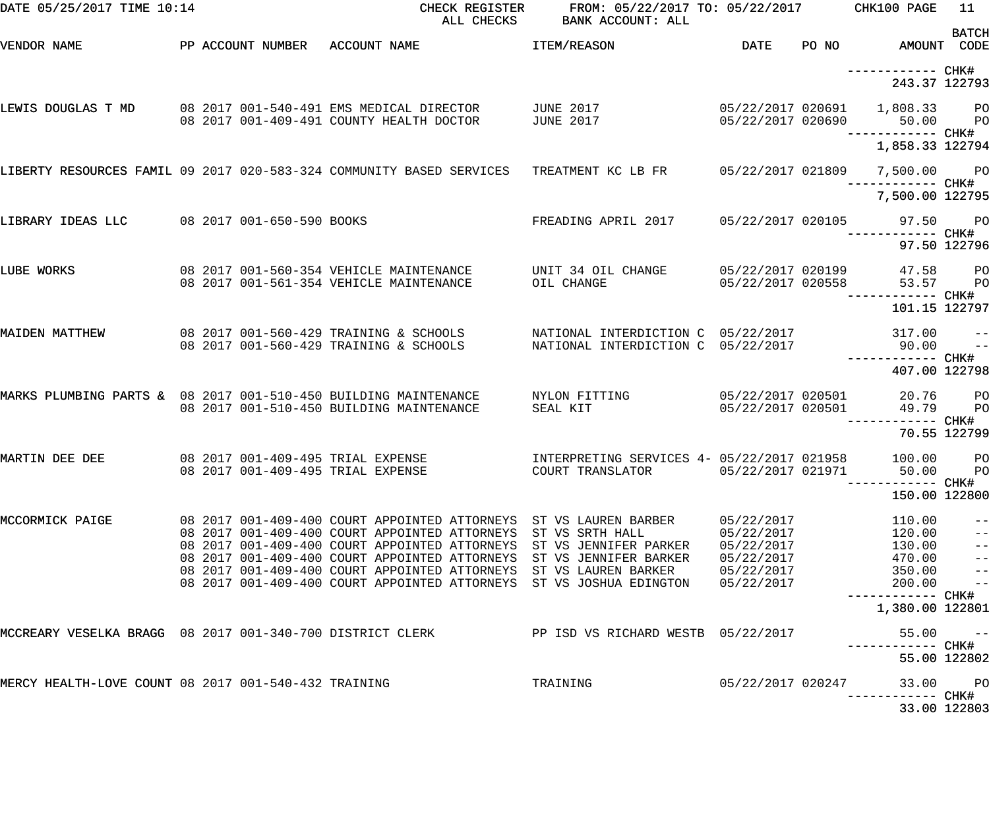| DATE 05/25/2017 TIME 10:14                                      |  | CHECK REGISTER<br>ALL CHECKS                                                                                                                                                                                                                                                                                           | FROM: 05/22/2017 TO: 05/22/2017 CHK100 PAGE<br>BANK ACCOUNT: ALL                                                  |                                                                                  |                                                          | 11                                                        |
|-----------------------------------------------------------------|--|------------------------------------------------------------------------------------------------------------------------------------------------------------------------------------------------------------------------------------------------------------------------------------------------------------------------|-------------------------------------------------------------------------------------------------------------------|----------------------------------------------------------------------------------|----------------------------------------------------------|-----------------------------------------------------------|
| VENDOR NAME                                                     |  | PP ACCOUNT NUMBER ACCOUNT NAME                                                                                                                                                                                                                                                                                         | <b>ITEM/REASON</b>                                                                                                | DATE                                                                             | PO NO AMOUNT CODE                                        | <b>BATCH</b>                                              |
|                                                                 |  |                                                                                                                                                                                                                                                                                                                        |                                                                                                                   |                                                                                  | ------------ CHK#<br>243.37 122793                       |                                                           |
|                                                                 |  | LEWIS DOUGLAS T MD 08 2017 001-540-491 EMS MEDICAL DIRECTOR<br>08 2017 001-409-491 COUNTY HEALTH DOCTOR                                                                                                                                                                                                                | JUNE 2017<br><b>JUNE 2017</b>                                                                                     | 05/22/2017 020690                                                                | 05/22/2017 020691  1,808.33  PO<br>50.00                 | PO                                                        |
|                                                                 |  |                                                                                                                                                                                                                                                                                                                        |                                                                                                                   |                                                                                  | 1,858.33 122794                                          |                                                           |
|                                                                 |  | LIBERTY RESOURCES FAMIL 09 2017 020-583-324 COMMUNITY BASED SERVICES TREATMENT KC LB FR     05/22/2017 021809   7,500.00    PO                                                                                                                                                                                         |                                                                                                                   |                                                                                  |                                                          |                                                           |
|                                                                 |  |                                                                                                                                                                                                                                                                                                                        |                                                                                                                   |                                                                                  | 7,500.00 122795                                          |                                                           |
| LIBRARY IDEAS LLC 08 2017 001-650-590 BOOKS                     |  |                                                                                                                                                                                                                                                                                                                        | FREADING APRIL 2017                                                                                               |                                                                                  | 05/22/2017 020105 97.50 PO<br>------------ CHK#          |                                                           |
|                                                                 |  |                                                                                                                                                                                                                                                                                                                        |                                                                                                                   |                                                                                  |                                                          | 97.50 122796                                              |
| LUBE WORKS                                                      |  | 08 2017 001-560-354 VEHICLE MAINTENANCE<br>08 2017 001-561-354 VEHICLE MAINTENANCE                                                                                                                                                                                                                                     | UNIT 34 OIL CHANGE<br>OIL CHANGE                                                                                  | 05/22/2017 020199<br>05/22/2017 020558                                           | 47.58<br>53.57<br>------------ CHK#                      | PO<br>PO                                                  |
|                                                                 |  |                                                                                                                                                                                                                                                                                                                        |                                                                                                                   |                                                                                  | 101.15 122797                                            |                                                           |
| MAIDEN MATTHEW                                                  |  | 08 2017 001-560-429 TRAINING & SCHOOLS<br>08 2017 001-560-429 TRAINING & SCHOOLS                                                                                                                                                                                                                                       | NATIONAL INTERDICTION C 05/22/2017<br>NATIONAL INTERDICTION C 05/22/2017                                          |                                                                                  | $317.00 - -$<br>90.00<br>------------ CHK#               | $ -$                                                      |
|                                                                 |  |                                                                                                                                                                                                                                                                                                                        |                                                                                                                   |                                                                                  | 407.00 122798                                            |                                                           |
| MARKS PLUMBING PARTS & 08 2017 001-510-450 BUILDING MAINTENANCE |  | 08 2017 001-510-450 BUILDING MAINTENANCE                                                                                                                                                                                                                                                                               | NYLON FITTING<br>SEAL KIT                                                                                         | 05/22/2017 020501<br>05/22/2017 020501                                           | 20.76<br>49.79                                           | PO<br>PO                                                  |
|                                                                 |  |                                                                                                                                                                                                                                                                                                                        |                                                                                                                   |                                                                                  |                                                          | 70.55 122799                                              |
| MARTIN DEE DEE                                                  |  | 08 2017 001-409-495 TRIAL EXPENSE<br>08 2017 001-409-495 TRIAL EXPENSE                                                                                                                                                                                                                                                 | INTERPRETING SERVICES 4- 05/22/2017 021958<br>COURT TRANSLATOR                                                    | 05/22/2017 021971                                                                | 100.00<br>50.00<br>---------- CHK#                       | PO<br><b>PO</b>                                           |
|                                                                 |  |                                                                                                                                                                                                                                                                                                                        |                                                                                                                   |                                                                                  | 150.00 122800                                            |                                                           |
| MCCORMICK PAIGE                                                 |  | 08 2017 001-409-400 COURT APPOINTED ATTORNEYS ST VS LAUREN BARBER<br>08 2017 001-409-400 COURT APPOINTED ATTORNEYS<br>08 2017 001-409-400 COURT APPOINTED ATTORNEYS<br>08 2017 001-409-400 COURT APPOINTED ATTORNEYS<br>08 2017 001-409-400 COURT APPOINTED ATTORNEYS<br>08 2017 001-409-400 COURT APPOINTED ATTORNEYS | ST VS SRTH HALL<br>ST VS JENNIFER PARKER<br>ST VS JENNIFER BARKER<br>ST VS LAUREN BARKER<br>ST VS JOSHUA EDINGTON | 05/22/2017<br>05/22/2017<br>05/22/2017<br>05/22/2017<br>05/22/2017<br>05/22/2017 | 110.00<br>120.00<br>130.00<br>470.00<br>350.00<br>200.00 | $ -$<br>$\equiv$ $\equiv$<br>$ -$<br>$ -$<br>$ -$<br>$ -$ |
|                                                                 |  |                                                                                                                                                                                                                                                                                                                        |                                                                                                                   |                                                                                  | ----------- CHK#<br>1,380.00 122801                      |                                                           |
| MCCREARY VESELKA BRAGG 08 2017 001-340-700 DISTRICT CLERK       |  |                                                                                                                                                                                                                                                                                                                        | PP ISD VS RICHARD WESTB 05/22/2017                                                                                |                                                                                  | 55.00<br>----------- CHK#                                | $- -$                                                     |
|                                                                 |  |                                                                                                                                                                                                                                                                                                                        |                                                                                                                   |                                                                                  |                                                          | 55.00 122802                                              |
| MERCY HEALTH-LOVE COUNT 08 2017 001-540-432 TRAINING            |  |                                                                                                                                                                                                                                                                                                                        | TRAINING                                                                                                          | 05/22/2017 020247                                                                | 33.00                                                    | PO                                                        |
|                                                                 |  |                                                                                                                                                                                                                                                                                                                        |                                                                                                                   |                                                                                  |                                                          | 33.00 122803                                              |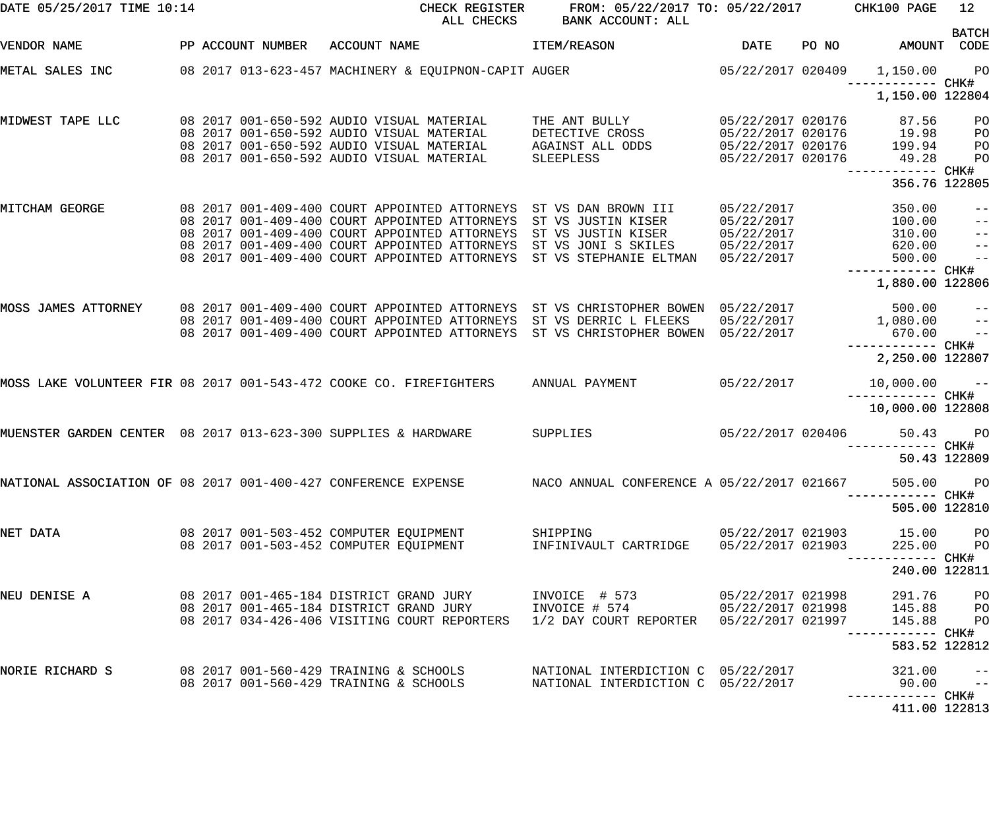| DATE 05/25/2017 TIME 10:14                                         |  |                   |                                            | CHECK REGISTER<br>ALL CHECKS                                                                   | FROM: 05/22/2017 TO: 05/22/2017 CHK100 PAGE<br>BANK ACCOUNT: ALL  |                                        |       |                                      | 12 <sub>1</sub>           |
|--------------------------------------------------------------------|--|-------------------|--------------------------------------------|------------------------------------------------------------------------------------------------|-------------------------------------------------------------------|----------------------------------------|-------|--------------------------------------|---------------------------|
| VENDOR NAME                                                        |  | PP ACCOUNT NUMBER | ACCOUNT NAME                               |                                                                                                | ITEM/REASON                                                       | <b>DATE</b>                            | PO NO | AMOUNT                               | <b>BATCH</b><br>CODE      |
| METAL SALES INC                                                    |  |                   |                                            | 08 2017 013-623-457 MACHINERY & EQUIPNON-CAPIT AUGER                                           |                                                                   | 05/22/2017 020409                      |       | 1,150.00<br>------------ CHK#        | P <sub>O</sub>            |
|                                                                    |  |                   |                                            |                                                                                                |                                                                   |                                        |       | 1,150.00 122804                      |                           |
| MIDWEST TAPE LLC                                                   |  |                   |                                            | 08 2017 001-650-592 AUDIO VISUAL MATERIAL<br>08 2017 001-650-592 AUDIO VISUAL MATERIAL         | THE ANT BULLY<br>DETECTIVE CROSS                                  | 05/22/2017 020176<br>05/22/2017 020176 |       | 87.56<br>19.98                       | PO<br>PO                  |
|                                                                    |  |                   |                                            | 08 2017 001-650-592 AUDIO VISUAL MATERIAL                                                      | AGAINST ALL ODDS                                                  | 05/22/2017 020176                      |       | 199.94                               | PO                        |
|                                                                    |  |                   |                                            | 08 2017 001-650-592 AUDIO VISUAL MATERIAL                                                      | SLEEPLESS                                                         | 05/22/2017 020176                      |       | 49.28<br>------------ CHK#           | PO                        |
|                                                                    |  |                   |                                            |                                                                                                |                                                                   |                                        |       | 356.76 122805                        |                           |
| MITCHAM GEORGE                                                     |  |                   |                                            |                                                                                                | 08 2017 001-409-400 COURT APPOINTED ATTORNEYS ST VS DAN BROWN III | 05/22/2017                             |       | 350.00                               |                           |
|                                                                    |  |                   |                                            | 08 2017 001-409-400 COURT APPOINTED ATTORNEYS                                                  | ST VS JUSTIN KISER                                                | 05/22/2017                             |       | 100.00                               | $\qquad \qquad -$         |
|                                                                    |  |                   |                                            | 08 2017 001-409-400 COURT APPOINTED ATTORNEYS<br>08 2017 001-409-400 COURT APPOINTED ATTORNEYS | ST VS JUSTIN KISER<br>ST VS JONI S SKILES                         | 05/22/2017<br>05/22/2017               |       | 310.00<br>620.00                     | $\qquad \qquad -$         |
|                                                                    |  |                   |                                            | 08 2017 001-409-400 COURT APPOINTED ATTORNEYS                                                  | ST VS STEPHANIE ELTMAN                                            | 05/22/2017                             |       | 500.00                               | $\qquad \qquad -$<br>$ -$ |
|                                                                    |  |                   |                                            |                                                                                                |                                                                   |                                        |       | ------------ CHK#                    |                           |
|                                                                    |  |                   |                                            |                                                                                                |                                                                   |                                        |       | 1,880.00 122806                      |                           |
| MOSS JAMES ATTORNEY                                                |  |                   |                                            | 08 2017 001-409-400 COURT APPOINTED ATTORNEYS                                                  | ST VS CHRISTOPHER BOWEN 05/22/2017                                |                                        |       | 500.00                               | $\qquad \qquad -$         |
|                                                                    |  |                   |                                            | 08 2017 001-409-400 COURT APPOINTED ATTORNEYS                                                  | ST VS DERRIC L FLEEKS                                             | 05/22/2017                             |       | 1,080.00                             | $\pm$ $\pm$               |
|                                                                    |  |                   |                                            | 08 2017 001-409-400 COURT APPOINTED ATTORNEYS                                                  | ST VS CHRISTOPHER BOWEN 05/22/2017                                |                                        |       | 670.00                               | $\qquad \qquad -$         |
|                                                                    |  |                   |                                            |                                                                                                |                                                                   |                                        |       | ------------ CHK#<br>2,250.00 122807 |                           |
| MOSS LAKE VOLUNTEER FIR 08 2017 001-543-472 COOKE CO. FIREFIGHTERS |  |                   |                                            |                                                                                                | ANNUAL PAYMENT                                                    | 05/22/2017                             |       | 10,000.00                            | $ -$                      |
|                                                                    |  |                   |                                            |                                                                                                |                                                                   |                                        |       | 10,000.00 122808                     |                           |
| MUENSTER GARDEN CENTER 08 2017 013-623-300 SUPPLIES & HARDWARE     |  |                   |                                            |                                                                                                | SUPPLIES                                                          | 05/22/2017 020406                      |       | 50.43                                | $P$ O                     |
|                                                                    |  |                   |                                            |                                                                                                |                                                                   |                                        |       | ------ CHK#<br>50.43 122809          |                           |
| NATIONAL ASSOCIATION OF 08 2017 001-400-427 CONFERENCE EXPENSE     |  |                   |                                            |                                                                                                | NACO ANNUAL CONFERENCE A 05/22/2017 021667                        |                                        |       | 505.00 PO                            |                           |
|                                                                    |  |                   |                                            |                                                                                                |                                                                   |                                        |       | ----------- CHK#                     |                           |
|                                                                    |  |                   |                                            |                                                                                                |                                                                   |                                        |       | 505.00 122810                        |                           |
| NET DATA                                                           |  |                   |                                            |                                                                                                | SHIPPING                                                          | 05/22/2017 021903                      |       | 15.00                                | P <sub>O</sub>            |
|                                                                    |  |                   | 08  2017  001-503-452  COMPUTER  EQUIPMENT |                                                                                                | INFINIVAULT CARTRIDGE                                             | 05/22/2017 021903                      |       | 225.00                               | P <sub>O</sub>            |
|                                                                    |  |                   |                                            |                                                                                                |                                                                   |                                        |       | 240.00 122811                        |                           |
| NEU DENISE A                                                       |  |                   |                                            | 08 2017 001-465-184 DISTRICT GRAND JURY                                                        | INVOICE # 573                                                     | 05/22/2017 021998                      |       | 291.76                               | P <sub>O</sub>            |
|                                                                    |  |                   |                                            | 08 2017 001-465-184 DISTRICT GRAND JURY                                                        | INVOICE # 574                                                     | 05/22/2017 021998                      |       | 145.88                               | P <sub>O</sub>            |
|                                                                    |  |                   |                                            | 08 2017 034-426-406 VISITING COURT REPORTERS                                                   | 1/2 DAY COURT REPORTER  05/22/2017 021997                         |                                        |       | 145.88                               | P <sub>O</sub>            |
|                                                                    |  |                   |                                            |                                                                                                |                                                                   |                                        |       |                                      |                           |
|                                                                    |  |                   |                                            |                                                                                                |                                                                   |                                        |       | 583.52 122812                        |                           |
| NORIE RICHARD S                                                    |  |                   |                                            | 08 2017 001-560-429 TRAINING & SCHOOLS                                                         | NATIONAL INTERDICTION C 05/22/2017                                |                                        |       | 321.00                               | $ -$                      |
|                                                                    |  |                   | 08 2017 001-560-429 TRAINING & SCHOOLS     |                                                                                                | NATIONAL INTERDICTION C 05/22/2017                                |                                        |       | 90.00                                | $- -$                     |
|                                                                    |  |                   |                                            |                                                                                                |                                                                   |                                        |       | 411.00 122813                        |                           |
|                                                                    |  |                   |                                            |                                                                                                |                                                                   |                                        |       |                                      |                           |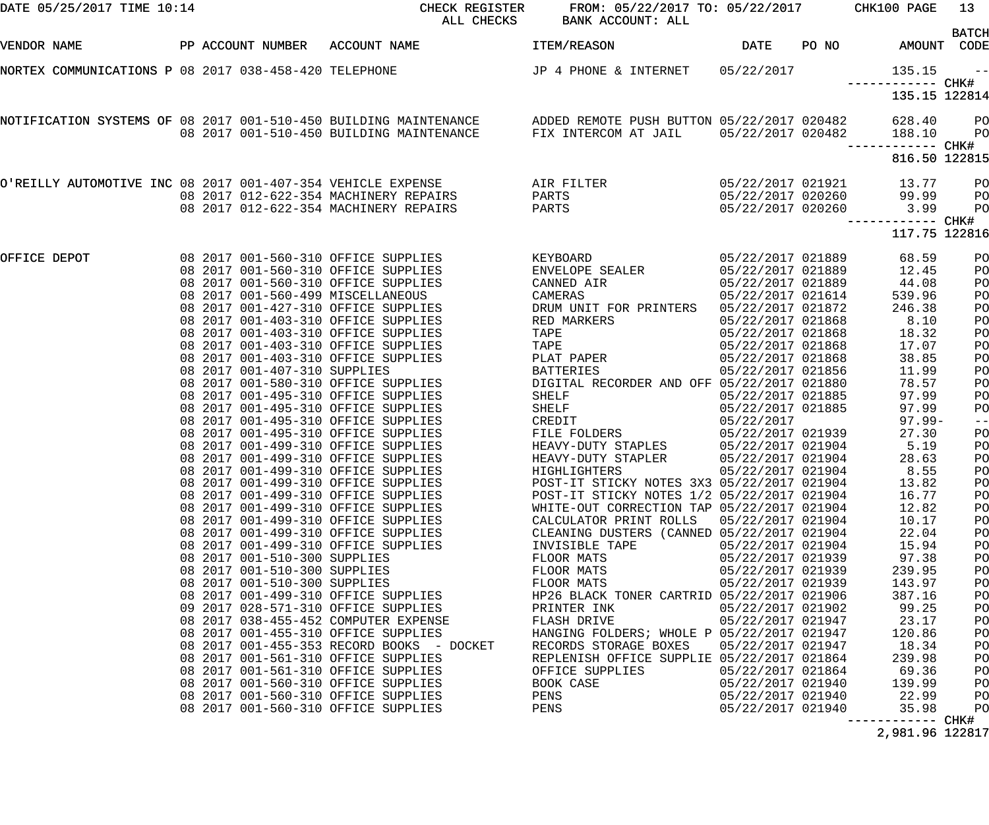| DATE 05/25/2017 TIME 10:14                            |  |                              | CHECK REGISTER<br>ALL CHECKS                                                                                                                                                                   | FROM: 05/22/2017 TO: 05/22/2017 CHK100 PAGE<br>BANK ACCOUNT: ALL |                                        |       |                  | 13                               |
|-------------------------------------------------------|--|------------------------------|------------------------------------------------------------------------------------------------------------------------------------------------------------------------------------------------|------------------------------------------------------------------|----------------------------------------|-------|------------------|----------------------------------|
| VENDOR NAME                                           |  |                              | PP ACCOUNT NUMBER ACCOUNT NAME                                                                                                                                                                 | ITEM/REASON                                                      | DATE                                   | PO NO | AMOUNT CODE      | <b>BATCH</b>                     |
| NORTEX COMMUNICATIONS P 08 2017 038-458-420 TELEPHONE |  |                              |                                                                                                                                                                                                | JP 4 PHONE & INTERNET                                            | 05/22/2017                             |       | 135.15           | $- -$                            |
|                                                       |  |                              |                                                                                                                                                                                                |                                                                  |                                        |       | 135.15 122814    |                                  |
|                                                       |  |                              | NOTIFICATION SYSTEMS OF 08 2017 001-510-450 BUILDING MAINTENANCE ADDED REMOTE PUSH BUTTON 05/22/2017 020482<br>08 2017 001-510-450 BUILDING MAINTENANCE FIX INTERCOM AT JAIL 05/22/2017 020482 |                                                                  |                                        |       | 628.40<br>188.10 | P <sub>O</sub><br>P <sub>O</sub> |
|                                                       |  |                              |                                                                                                                                                                                                |                                                                  |                                        |       |                  |                                  |
|                                                       |  |                              |                                                                                                                                                                                                |                                                                  |                                        |       | 816.50 122815    |                                  |
|                                                       |  |                              | O'REILLY AUTOMOTIVE INC 08 2017 001-407-354 VEHICLE EXPENSE AIR FILTER                                                                                                                         |                                                                  | 05/22/2017 021921                      |       | 13.77            | PО                               |
|                                                       |  |                              | 08  2017  012-622-354  MACHINERY REPAIRS<br>08 2017 012-622-354 MACHINERY REPAIRS                                                                                                              | PARTS<br>PARTS                                                   | 05/22/2017 020260<br>05/22/2017 020260 |       | 99.99<br>3.99    | PО<br>PO                         |
|                                                       |  |                              |                                                                                                                                                                                                |                                                                  |                                        |       |                  |                                  |
|                                                       |  |                              |                                                                                                                                                                                                |                                                                  |                                        |       | 117.75 122816    |                                  |
| OFFICE DEPOT                                          |  |                              | 08 2017 001-560-310 OFFICE SUPPLIES                                                                                                                                                            | KEYBOARD                                                         | 05/22/2017 021889                      |       | 68.59            | PO                               |
|                                                       |  |                              | 08 2017 001-560-310 OFFICE SUPPLIES<br>08 2017 001-560-310 OFFICE SUPPLIES                                                                                                                     | ENVELOPE SEALER<br>CANNED AIR                                    | 05/22/2017 021889<br>05/22/2017 021889 |       | 12.45<br>44.08   | PO                               |
|                                                       |  |                              | 08 2017 001-560-499 MISCELLANEOUS                                                                                                                                                              | CAMERAS                                                          | 05/22/2017 021614                      |       | 539.96           | PO<br>PO                         |
|                                                       |  |                              | 08 2017 001-427-310 OFFICE SUPPLIES                                                                                                                                                            | DRUM UNIT FOR PRINTERS                                           | 05/22/2017 021872                      |       | 246.38           | PO                               |
|                                                       |  |                              | 08 2017 001-403-310 OFFICE SUPPLIES                                                                                                                                                            | RED MARKERS                                                      | 05/22/2017 021868                      |       | 8.10             | PO                               |
|                                                       |  |                              | 08 2017 001-403-310 OFFICE SUPPLIES                                                                                                                                                            | TAPE                                                             | 05/22/2017 021868                      |       | 18.32            | PO                               |
|                                                       |  |                              | 08 2017 001-403-310 OFFICE SUPPLIES                                                                                                                                                            | TAPE                                                             | 05/22/2017 021868                      |       | 17.07            | PO                               |
|                                                       |  |                              | 08 2017 001-403-310 OFFICE SUPPLIES                                                                                                                                                            | PLAT PAPER                                                       | 05/22/2017 021868                      |       | 38.85            | PO                               |
|                                                       |  | 08 2017 001-407-310 SUPPLIES |                                                                                                                                                                                                | BATTERIES                                                        | 05/22/2017 021856                      |       | 11.99            | PO                               |
|                                                       |  |                              | 08 2017 001-580-310 OFFICE SUPPLIES                                                                                                                                                            | DIGITAL RECORDER AND OFF 05/22/2017 021880                       |                                        |       | 78.57            | PO                               |
|                                                       |  |                              | 08 2017 001-495-310 OFFICE SUPPLIES                                                                                                                                                            | SHELF                                                            | 05/22/2017 021885                      |       | 97.99            | PO                               |
|                                                       |  |                              | 08 2017 001-495-310 OFFICE SUPPLIES                                                                                                                                                            | SHELF                                                            | 05/22/2017 021885                      |       | 97.99            | PO                               |
|                                                       |  |                              | 08 2017 001-495-310 OFFICE SUPPLIES                                                                                                                                                            | CREDIT                                                           | 05/22/2017                             |       | $97.99 -$        | $-\:\:-$                         |
|                                                       |  |                              | 08 2017 001-495-310 OFFICE SUPPLIES                                                                                                                                                            | FILE FOLDERS                                                     | 05/22/2017 021939                      |       | 27.30            | PO                               |
|                                                       |  |                              | 08 2017 001-499-310 OFFICE SUPPLIES                                                                                                                                                            | HEAVY-DUTY STAPLES                                               | 05/22/2017 021904                      |       | 5.19             | PO                               |
|                                                       |  |                              | 08 2017 001-499-310 OFFICE SUPPLIES                                                                                                                                                            | HEAVY-DUTY STAPLER                                               | 05/22/2017 021904                      |       | 28.63            | PO                               |
|                                                       |  |                              | 08 2017 001-499-310 OFFICE SUPPLIES                                                                                                                                                            | HIGHLIGHTERS                                                     | 05/22/2017 021904                      |       | 8.55             | PO                               |
|                                                       |  |                              | 08 2017 001-499-310 OFFICE SUPPLIES                                                                                                                                                            | POST-IT STICKY NOTES 3X3 05/22/2017 021904                       |                                        |       | 13.82            | PO                               |
|                                                       |  |                              | 08 2017 001-499-310 OFFICE SUPPLIES                                                                                                                                                            | POST-IT STICKY NOTES 1/2 05/22/2017 021904                       |                                        |       | 16.77            | PO                               |
|                                                       |  |                              | 08 2017 001-499-310 OFFICE SUPPLIES                                                                                                                                                            | WHITE-OUT CORRECTION TAP 05/22/2017 021904                       |                                        |       | 12.82            | PO                               |
|                                                       |  |                              | 08 2017 001-499-310 OFFICE SUPPLIES                                                                                                                                                            | CALCULATOR PRINT ROLLS                                           | 05/22/2017 021904                      |       | 10.17            | PO                               |
|                                                       |  |                              | 08 2017 001-499-310 OFFICE SUPPLIES<br>08 2017 001-499-310 OFFICE SUPPLIES                                                                                                                     | CLEANING DUSTERS (CANNED 05/22/2017 021904                       |                                        |       | 22.04<br>15.94   | PO                               |
|                                                       |  | 08 2017 001-510-300 SUPPLIES |                                                                                                                                                                                                | INVISIBLE TAPE<br>FLOOR MATS                                     | 05/22/2017 021904<br>05/22/2017 021939 |       | 97.38            | PO                               |
|                                                       |  | 08 2017 001-510-300 SUPPLIES |                                                                                                                                                                                                | FLOOR MATS                                                       | 05/22/2017 021939                      |       | 239.95           | PO<br>PO                         |
|                                                       |  | 08 2017 001-510-300 SUPPLIES |                                                                                                                                                                                                | FLOOR MATS                                                       | 05/22/2017 021939                      |       | 143.97           | PO                               |
|                                                       |  |                              | 08 2017 001-499-310 OFFICE SUPPLIES                                                                                                                                                            | HP26 BLACK TONER CARTRID 05/22/2017 021906                       |                                        |       | 387.16           | PO                               |
|                                                       |  |                              | 09 2017 028-571-310 OFFICE SUPPLIES                                                                                                                                                            | PRINTER INK                                                      | 05/22/2017 021902                      |       | 99.25            | PO                               |
|                                                       |  |                              | 08 2017 038-455-452 COMPUTER EXPENSE                                                                                                                                                           | FLASH DRIVE                                                      | 05/22/2017 021947                      |       | 23.17            | PO                               |
|                                                       |  |                              | 08 2017 001-455-310 OFFICE SUPPLIES                                                                                                                                                            | HANGING FOLDERS; WHOLE P 05/22/2017 021947                       |                                        |       | 120.86           | PO                               |
|                                                       |  |                              | 08  2017  001-455-353  RECORD  BOOKS - DOCKET                                                                                                                                                  | RECORDS STORAGE BOXES                                            | 05/22/2017 021947                      |       | 18.34            | PO                               |
|                                                       |  |                              | 08 2017 001-561-310 OFFICE SUPPLIES                                                                                                                                                            | REPLENISH OFFICE SUPPLIE 05/22/2017 021864                       |                                        |       | 239.98           | PO                               |
|                                                       |  |                              | 08 2017 001-561-310 OFFICE SUPPLIES                                                                                                                                                            | OFFICE SUPPLIES                                                  | 05/22/2017 021864                      |       | 69.36            | PO                               |
|                                                       |  |                              | 08 2017 001-560-310 OFFICE SUPPLIES                                                                                                                                                            | BOOK CASE                                                        | 05/22/2017 021940                      |       | 139.99           | PO                               |
|                                                       |  |                              | 08 2017 001-560-310 OFFICE SUPPLIES                                                                                                                                                            | PENS                                                             | 05/22/2017 021940                      |       | 22.99            | PO                               |
|                                                       |  |                              | 08 2017 001-560-310 OFFICE SUPPLIES                                                                                                                                                            | PENS                                                             | 05/22/2017 021940                      |       | 35.98            | PO                               |
|                                                       |  |                              |                                                                                                                                                                                                |                                                                  |                                        |       | ------------     | CHK#                             |

2,981.96 122817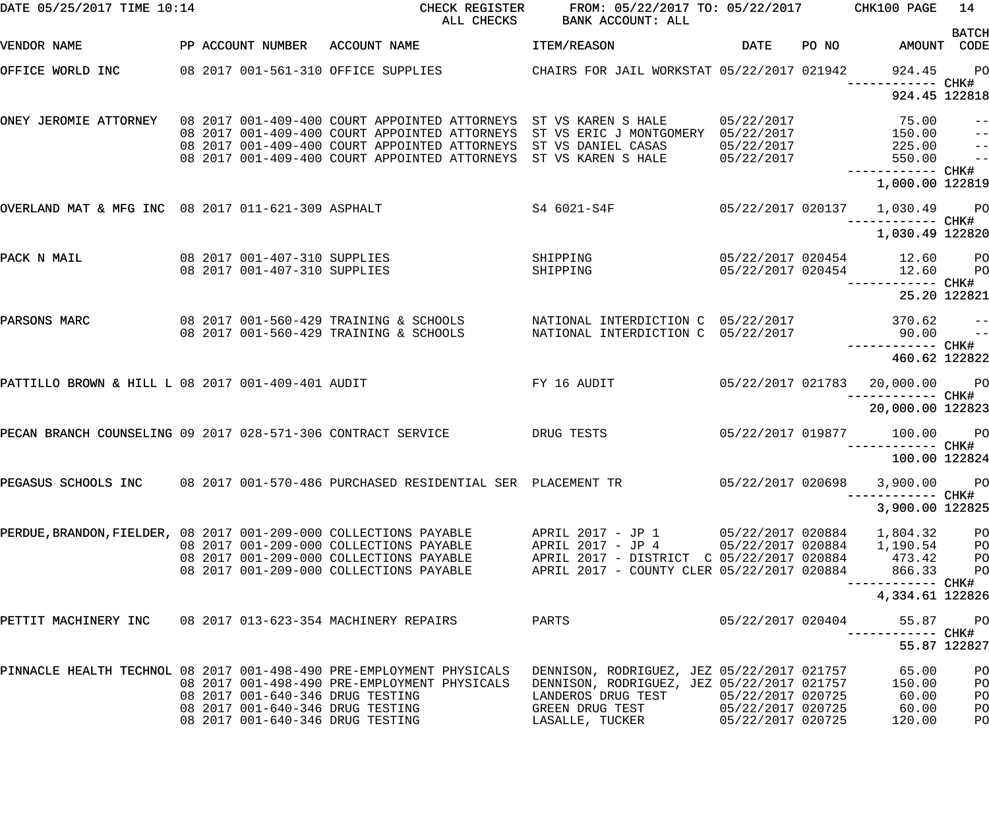| DATE 05/25/2017 TIME 10:14                                        |                                                              | CHECK REGISTER<br>ALL CHECKS                                                                                                                                                                 | FROM: 05/22/2017 TO: 05/22/2017 CHK100 PAGE<br>BANK ACCOUNT: ALL                                                                                                                                            |                                        |       |                                       | 14                                                      |
|-------------------------------------------------------------------|--------------------------------------------------------------|----------------------------------------------------------------------------------------------------------------------------------------------------------------------------------------------|-------------------------------------------------------------------------------------------------------------------------------------------------------------------------------------------------------------|----------------------------------------|-------|---------------------------------------|---------------------------------------------------------|
| VENDOR NAME                                                       | PP ACCOUNT NUMBER                                            | ACCOUNT NAME                                                                                                                                                                                 | ITEM/REASON                                                                                                                                                                                                 | <b>DATE</b>                            | PO NO | AMOUNT CODE                           | <b>BATCH</b>                                            |
| OFFICE WORLD INC                                                  |                                                              | 08 2017 001-561-310 OFFICE SUPPLIES                                                                                                                                                          | CHAIRS FOR JAIL WORKSTAT 05/22/2017 021942                                                                                                                                                                  |                                        |       | 924.45                                | $P$ O                                                   |
|                                                                   |                                                              |                                                                                                                                                                                              |                                                                                                                                                                                                             |                                        |       | 924.45 122818                         |                                                         |
|                                                                   |                                                              | ONEY JEROMIE ATTORNEY   08 2017 001-409-400 COURT APPOINTED ATTORNEYS  ST VS KAREN S HALE<br>08 2017 001-409-400 COURT APPOINTED ATTORNEYS<br>08 2017 001-409-400 COURT APPOINTED ATTORNEYS  | ST VS ERIC J MONTGOMERY 05/22/2017<br>ST VS DANIEL CASAS                                                                                                                                                    | 05/22/2017<br>05/22/2017               |       | 75.00<br>150.00<br>225.00             | $\qquad \qquad -$<br>$\qquad \qquad -$<br>$\frac{1}{2}$ |
|                                                                   |                                                              | 08 2017 001-409-400 COURT APPOINTED ATTORNEYS                                                                                                                                                | ST VS KAREN S HALE                                                                                                                                                                                          | 05/22/2017                             |       | 550.00<br>1,000.00 122819             | $\frac{1}{2}$                                           |
| OVERLAND MAT & MFG INC 08 2017 011-621-309 ASPHALT                |                                                              |                                                                                                                                                                                              | S4 6021-S4F                                                                                                                                                                                                 | 05/22/2017 020137                      |       | 1,030.49 PO<br>—————————— CHK#        |                                                         |
|                                                                   |                                                              |                                                                                                                                                                                              |                                                                                                                                                                                                             |                                        |       | 1,030.49 122820                       |                                                         |
| PACK N MAIL                                                       | 08 2017 001-407-310 SUPPLIES<br>08 2017 001-407-310 SUPPLIES |                                                                                                                                                                                              | SHIPPING<br>SHIPPING                                                                                                                                                                                        | 05/22/2017 020454<br>05/22/2017 020454 |       | 12.60<br>12.60                        | <b>PO</b><br><b>PO</b>                                  |
|                                                                   |                                                              |                                                                                                                                                                                              |                                                                                                                                                                                                             |                                        |       | 25.20 122821                          |                                                         |
| PARSONS MARC                                                      |                                                              | 08 2017 001-560-429 TRAINING & SCHOOLS<br>08 2017 001-560-429 TRAINING & SCHOOLS                                                                                                             | NATIONAL INTERDICTION C 05/22/2017<br>NATIONAL INTERDICTION C 05/22/2017                                                                                                                                    |                                        |       | 370.62<br>90.00                       | $ -$<br>$\qquad \qquad -$                               |
|                                                                   |                                                              |                                                                                                                                                                                              |                                                                                                                                                                                                             |                                        |       | 460.62 122822                         |                                                         |
| PATTILLO BROWN & HILL L 08 2017 001-409-401 AUDIT                 |                                                              |                                                                                                                                                                                              | FY 16 AUDIT                                                                                                                                                                                                 | 05/22/2017 021783                      |       | 20,000.00 PO                          |                                                         |
|                                                                   |                                                              |                                                                                                                                                                                              |                                                                                                                                                                                                             |                                        |       | 20,000.00 122823                      |                                                         |
| PECAN BRANCH COUNSELING 09 2017 028-571-306 CONTRACT SERVICE      |                                                              |                                                                                                                                                                                              | DRUG TESTS                                                                                                                                                                                                  | 05/22/2017 019877                      |       | 100.00<br>100.00 122824               | <b>PO</b>                                               |
|                                                                   |                                                              | PEGASUS SCHOOLS INC 08 2017 001-570-486 PURCHASED RESIDENTIAL SER PLACEMENT TR                                                                                                               |                                                                                                                                                                                                             | 05/22/2017 020698                      |       | 3,900.00 PO                           |                                                         |
|                                                                   |                                                              |                                                                                                                                                                                              |                                                                                                                                                                                                             |                                        |       | 3,900.00 122825                       |                                                         |
| PERDUE, BRANDON, FIELDER, 08 2017 001-209-000 COLLECTIONS PAYABLE |                                                              | 08 2017 001-209-000 COLLECTIONS PAYABLE                                                                                                                                                      |                                                                                                                                                                                                             |                                        |       |                                       | P <sub>O</sub><br>P <sub>O</sub>                        |
|                                                                   |                                                              | 08 2017 001-209-000 COLLECTIONS PAYABLE<br>08 2017 001-209-000 COLLECTIONS PAYABLE                                                                                                           | APRIL 2017 - DISTRICT C 05/22/2017 020884<br>APRIL 2017 - COUNTY CLER 05/22/2017 020884                                                                                                                     |                                        |       | 473.42<br>866.33<br>------------ CHK# | PО<br>P <sub>O</sub>                                    |
|                                                                   |                                                              |                                                                                                                                                                                              |                                                                                                                                                                                                             |                                        |       | 4,334.61 122826                       |                                                         |
| PETTIT MACHINERY INC 08 2017 013-623-354 MACHINERY REPAIRS        |                                                              |                                                                                                                                                                                              | PARTS                                                                                                                                                                                                       | 05/22/2017 020404                      |       | 55.87                                 | <b>PO</b>                                               |
|                                                                   |                                                              |                                                                                                                                                                                              |                                                                                                                                                                                                             |                                        |       | 55.87 122827                          |                                                         |
|                                                                   |                                                              | PINNACLE HEALTH TECHNOL 08 2017 001-498-490 PRE-EMPLOYMENT PHYSICALS<br>08 2017 001-498-490 PRE-EMPLOYMENT PHYSICALS<br>08 2017 001-640-346 DRUG TESTING<br>08 2017 001-640-346 DRUG TESTING | DENNISON, RODRIGUEZ, JEZ 05/22/2017 021757<br>CELEMBER TER OF/22/2017 021757<br>DENNISON, RODRIGUEZ, JEZ 05/22/2017 021757<br>LANDEROS DRUG TEST $05/22/2017$ 020725<br>GREEN DRUG TEST $05/22/2017$ 020725 |                                        |       | 65.00<br>150.00<br>60.00<br>60.00     | PO<br>PO<br>PO<br>PO                                    |
|                                                                   |                                                              | 08 2017 001-640-346 DRUG TESTING                                                                                                                                                             | LASALLE, TUCKER 05/22/2017 020725                                                                                                                                                                           |                                        |       | 120.00                                | PO                                                      |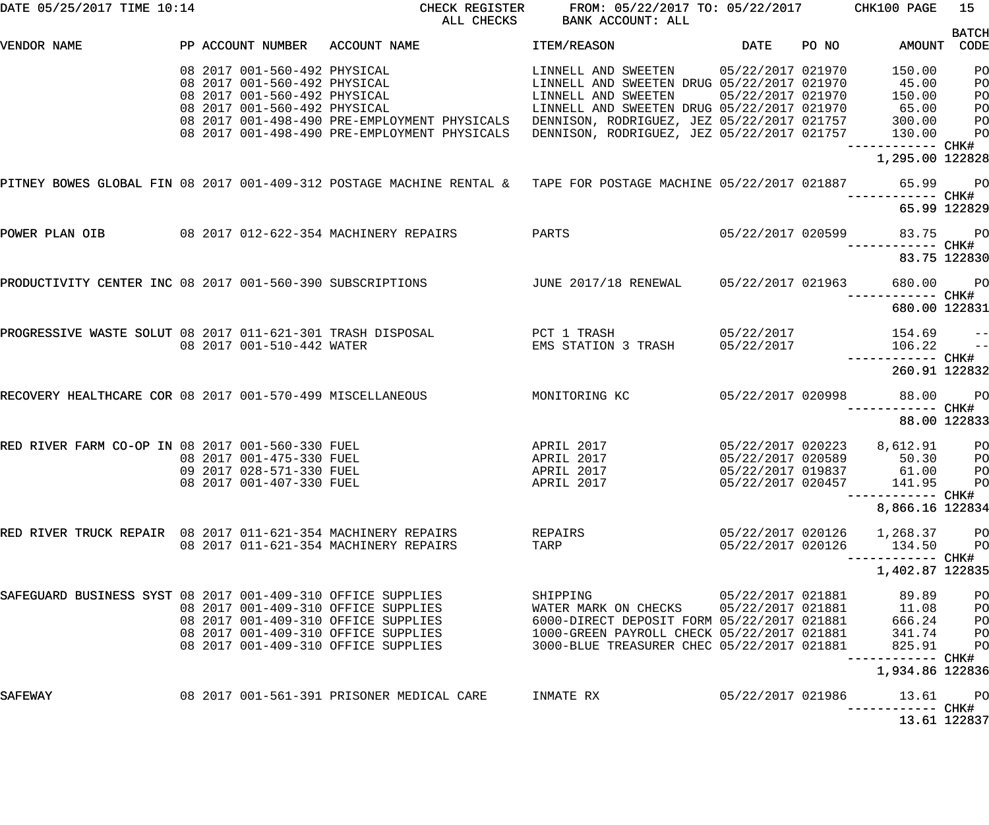| DATE 05/25/2017 TIME 10:14                                                                                      | CHECK REGISTER<br>ALL CHECKS                 | FROM: 05/22/2017 TO: 05/22/2017 CHK100 PAGE<br>BANK ACCOUNT: ALL                                                                                           |                   |       |                                          | 15             |
|-----------------------------------------------------------------------------------------------------------------|----------------------------------------------|------------------------------------------------------------------------------------------------------------------------------------------------------------|-------------------|-------|------------------------------------------|----------------|
|                                                                                                                 |                                              |                                                                                                                                                            |                   |       |                                          | <b>BATCH</b>   |
| PP ACCOUNT NUMBER ACCOUNT NAME<br>VENDOR NAME                                                                   |                                              | ITEM/REASON                                                                                                                                                | DATE              | PO NO | AMOUNT CODE                              |                |
| 08 2017 001-560-492 PHYSICAL                                                                                    |                                              | LINNELL AND SWEETEN 05/22/2017 021970                                                                                                                      |                   |       | 150.00                                   | PO             |
| 08 2017 001-560-492 PHYSICAL                                                                                    |                                              | LINNELL AND SWEETEN DRUG 05/22/2017 021970                                                                                                                 |                   |       | 45.00                                    | PO             |
| 08 2017 001-560-492 PHYSICAL                                                                                    |                                              | LINNELL AND SWEETEN                                                                                                                                        | 05/22/2017 021970 |       | 150.00                                   | PO             |
| 08 2017 001-560-492 PHYSICAL                                                                                    |                                              |                                                                                                                                                            |                   |       |                                          | PO             |
|                                                                                                                 | 08 2017 001-498-490 PRE-EMPLOYMENT PHYSICALS |                                                                                                                                                            |                   |       |                                          | PO             |
|                                                                                                                 | 08 2017 001-498-490 PRE-EMPLOYMENT PHYSICALS | LINNELL AND SWEETEN DRUG 05/22/2017 021970 65.00<br>DENNISON, RODRIGUEZ, JEZ 05/22/2017 021757 300.00<br>DENNISON, RODRIGUEZ, JEZ 05/22/2017 021757 130.00 |                   |       |                                          | PO             |
|                                                                                                                 |                                              |                                                                                                                                                            |                   |       | —————————— CHK#<br>1,295.00 122828       |                |
| PITNEY BOWES GLOBAL FIN 08 2017 001-409-312 POSTAGE MACHINE RENTAL & TAPE FOR POSTAGE MACHINE 05/22/2017 021887 |                                              |                                                                                                                                                            |                   |       | 65.99 PO                                 |                |
|                                                                                                                 |                                              |                                                                                                                                                            |                   |       |                                          |                |
|                                                                                                                 |                                              |                                                                                                                                                            |                   |       | 65.99 122829                             |                |
| POWER PLAN OIB 08 2017 012-622-354 MACHINERY REPAIRS                                                            |                                              | PARTS                                                                                                                                                      | 05/22/2017 020599 |       | 83.75 PO                                 |                |
|                                                                                                                 |                                              |                                                                                                                                                            |                   |       |                                          |                |
|                                                                                                                 |                                              |                                                                                                                                                            |                   |       | 83.75 122830                             |                |
| PRODUCTIVITY CENTER INC 08 2017 001-560-390 SUBSCRIPTIONS 60 JUNE 2017/18 RENEWAL 65/22/2017 021963             |                                              |                                                                                                                                                            |                   |       | 680.00 PO                                |                |
|                                                                                                                 |                                              |                                                                                                                                                            |                   |       | 680.00 122831                            |                |
| PROGRESSIVE WASTE SOLUT 08 2017 011-621-301 TRASH DISPOSAL                                                      |                                              | PCT 1 TRASH                                                                                                                                                | 05/22/2017        |       | $154.69$ --                              |                |
| 08 2017 001-510-442 WATER                                                                                       |                                              | EMS STATION 3 TRASH 05/22/2017                                                                                                                             |                   |       | 106.22                                   | $\frac{1}{2}$  |
|                                                                                                                 |                                              |                                                                                                                                                            |                   |       |                                          |                |
|                                                                                                                 |                                              |                                                                                                                                                            |                   |       | 260.91 122832                            |                |
| RECOVERY HEALTHCARE COR 08 2017 001-570-499 MISCELLANEOUS                                                       |                                              | MONITORING KC                                                                                                                                              | 05/22/2017 020998 |       | 88.00 PO                                 |                |
|                                                                                                                 |                                              |                                                                                                                                                            |                   |       | ------------ CHK#                        |                |
|                                                                                                                 |                                              |                                                                                                                                                            |                   |       | 88.00 122833                             |                |
| RED RIVER FARM CO-OP IN 08 2017 001-560-330 FUEL                                                                |                                              | APRIL 2017                                                                                                                                                 | 05/22/2017 020223 |       | 8,612.91                                 | <b>PO</b>      |
| 08 2017 001-475-330 FUEL                                                                                        |                                              | APRIL 2017                                                                                                                                                 | 05/22/2017 020589 |       | 50.30                                    | P <sub>O</sub> |
| 09 2017 028-571-330 FUEL                                                                                        |                                              | APRIL 2017                                                                                                                                                 |                   |       | 05/22/2017 019837 61.00                  | <b>PO</b>      |
| 08 2017 001-407-330 FUEL                                                                                        |                                              | APRIL 2017                                                                                                                                                 | 05/22/2017 020457 |       | 141.95                                   | <b>PO</b>      |
|                                                                                                                 |                                              |                                                                                                                                                            |                   |       | ------------ CHK#                        |                |
|                                                                                                                 |                                              |                                                                                                                                                            |                   |       | 8,866.16 122834                          |                |
| RED RIVER TRUCK REPAIR 08 2017 011-621-354 MACHINERY REPAIRS                                                    |                                              | REPAIRS                                                                                                                                                    | 05/22/2017 020126 |       | 1,268.37                                 | $P$ O          |
|                                                                                                                 | 08 2017 011-621-354 MACHINERY REPAIRS        | TARP                                                                                                                                                       | 05/22/2017 020126 |       | 134.50                                   | P <sub>O</sub> |
|                                                                                                                 |                                              |                                                                                                                                                            |                   |       |                                          |                |
|                                                                                                                 |                                              |                                                                                                                                                            |                   |       | 1,402.87 122835                          |                |
| SAFEGUARD BUSINESS SYST 08 2017 001-409-310 OFFICE SUPPLIES                                                     |                                              | SHIPPING                                                                                                                                                   | 05/22/2017 021881 |       | 89.89                                    | PO             |
|                                                                                                                 | 08 2017 001-409-310 OFFICE SUPPLIES          | WATER MARK ON CHECKS                                                                                                                                       | 05/22/2017 021881 |       | 11.08                                    | PO             |
|                                                                                                                 | 08 2017 001-409-310 OFFICE SUPPLIES          | 6000-DIRECT DEPOSIT FORM 05/22/2017 021881                                                                                                                 |                   |       | 666.24                                   | PO             |
|                                                                                                                 | 08 2017 001-409-310 OFFICE SUPPLIES          | 1000-GREEN PAYROLL CHECK 05/22/2017 021881                                                                                                                 |                   |       | 341.74                                   | P <sub>O</sub> |
|                                                                                                                 | 08 2017 001-409-310 OFFICE SUPPLIES          | 3000-BLUE TREASURER CHEC 05/22/2017 021881                                                                                                                 |                   |       | 825.91                                   | PO             |
|                                                                                                                 |                                              |                                                                                                                                                            |                   |       | —————————— CHK#<br>1,934.86 122836       |                |
| SAFEWAY                                                                                                         | 08 2017 001-561-391 PRISONER MEDICAL CARE    | INMATE RX                                                                                                                                                  | 05/22/2017 021986 |       | 13.61                                    | $P$ O          |
|                                                                                                                 |                                              |                                                                                                                                                            |                   |       | -----------         CHK#<br>13.61 122837 |                |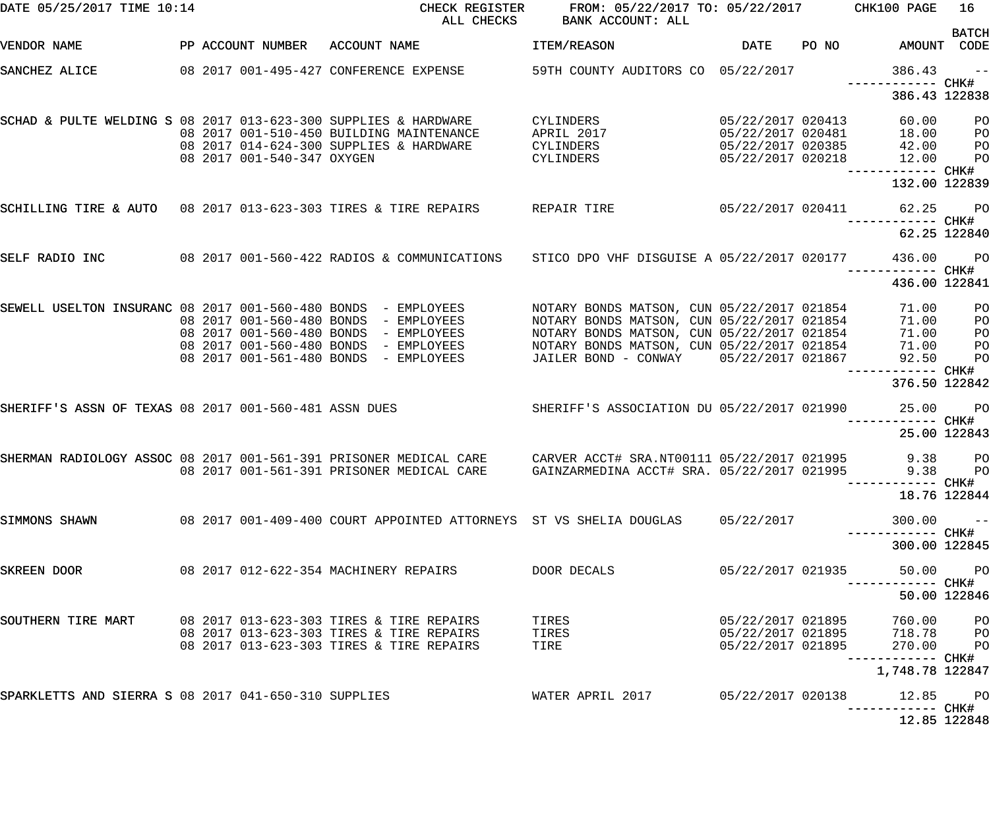| DATE 05/25/2017 TIME 10:14                                        |  |                            | CHECK REGISTER<br>ALL CHECKS                                                           | FROM: 05/22/2017 TO: 05/22/2017 CHK100 PAGE<br>BANK ACCOUNT: ALL                         |                                                             |       |                                                                                           | 16                   |
|-------------------------------------------------------------------|--|----------------------------|----------------------------------------------------------------------------------------|------------------------------------------------------------------------------------------|-------------------------------------------------------------|-------|-------------------------------------------------------------------------------------------|----------------------|
| VENDOR NAME                                                       |  |                            | PP ACCOUNT NUMBER ACCOUNT NAME                                                         | ITEM/REASON                                                                              | DATE                                                        | PO NO | AMOUNT CODE                                                                               | <b>BATCH</b>         |
| SANCHEZ ALICE                                                     |  |                            | 08  2017  001-495-427  CONFERENCE EXPENSE                                              | 59TH COUNTY AUDITORS CO 05/22/2017                                                       |                                                             |       | 386.43                                                                                    | $\sim$ $ -$          |
|                                                                   |  |                            |                                                                                        |                                                                                          |                                                             |       | 386.43 122838                                                                             |                      |
| SCHAD & PULTE WELDING S 08 2017 013-623-300 SUPPLIES & HARDWARE   |  |                            | 08 2017 001-510-450 BUILDING MAINTENANCE                                               | CYLINDERS<br>APRIL 2017                                                                  | 05/22/2017 020413<br>05/22/2017 020481<br>05/22/2017 020385 |       | 60.00<br>18.00                                                                            | P <sub>O</sub><br>PO |
|                                                                   |  | 08 2017 001-540-347 OXYGEN | 08 2017 014-624-300 SUPPLIES & HARDWARE                                                | CYLINDERS<br>CYLINDERS                                                                   | 05/22/2017 020218                                           |       | 42.00<br>12.00                                                                            | PO<br>PO             |
|                                                                   |  |                            |                                                                                        |                                                                                          |                                                             |       | ------------ CHK#<br>132.00 122839                                                        |                      |
| SCHILLING TIRE & AUTO 08 2017 013-623-303 TIRES & TIRE REPAIRS    |  |                            |                                                                                        | REPAIR TIRE<br>05/22/2017 020411                                                         |                                                             |       | 62.25 PO<br>------------ CHK#                                                             |                      |
|                                                                   |  |                            |                                                                                        |                                                                                          |                                                             |       |                                                                                           | 62.25 122840         |
| SELF RADIO INC                                                    |  |                            | 08 2017 001-560-422 RADIOS & COMMUNICATIONS STICO DPO VHF DISGUISE A 05/22/2017 020177 |                                                                                          |                                                             |       | 436.00<br>------------ CHK#                                                               | <b>PO</b>            |
|                                                                   |  |                            |                                                                                        |                                                                                          |                                                             |       | 436.00 122841                                                                             |                      |
| SEWELL USELTON INSURANC 08 2017 001-560-480 BONDS - EMPLOYEES     |  |                            | 08 2017 001-560-480 BONDS - EMPLOYEES                                                  | NOTARY BONDS MATSON, CUN 05/22/2017 021854<br>NOTARY BONDS MATSON, CUN 05/22/2017 021854 |                                                             |       | 71.00<br>71.00                                                                            | PO<br>PO             |
|                                                                   |  |                            | 08 2017 001-560-480 BONDS - EMPLOYEES<br>08 2017 001-560-480 BONDS - EMPLOYEES         | NOTARY BONDS MATSON, CUN 05/22/2017 021854<br>NOTARY BONDS MATSON, CUN 05/22/2017 021854 |                                                             |       | 71.00<br>71.00                                                                            | PO<br>PO             |
|                                                                   |  | 08 2017 001-561-480 BONDS  | - EMPLOYEES                                                                            | JAILER BOND - CONWAY 05/22/2017 021867                                                   |                                                             |       | 92.50                                                                                     | P <sub>O</sub>       |
|                                                                   |  |                            |                                                                                        |                                                                                          |                                                             |       | 376.50 122842                                                                             |                      |
| SHERIFF'S ASSN OF TEXAS 08 2017 001-560-481 ASSN DUES             |  |                            |                                                                                        | SHERIFF'S ASSOCIATION DU 05/22/2017 021990                                               |                                                             |       | 25.00<br>------------ CHK#                                                                | <b>PO</b>            |
|                                                                   |  |                            |                                                                                        |                                                                                          |                                                             |       |                                                                                           | 25.00 122843         |
| SHERMAN RADIOLOGY ASSOC 08 2017 001-561-391 PRISONER MEDICAL CARE |  |                            | 08 2017 001-561-391 PRISONER MEDICAL CARE GAINZARMEDINA ACCT# SRA. 05/22/2017 021995   | CARVER ACCT# SRA.NT00111 05/22/2017 021995                                               |                                                             |       | 9.38<br>9.38 PO                                                                           | P <sub>O</sub>       |
|                                                                   |  |                            |                                                                                        |                                                                                          |                                                             |       | -------- CHK#<br>18.76 122844                                                             |                      |
| SIMMONS SHAWN                                                     |  |                            | 08 2017 001-409-400 COURT APPOINTED ATTORNEYS ST VS SHELIA DOUGLAS                     |                                                                                          | 05/22/2017                                                  |       | 300.00                                                                                    | $\sim$ $-$           |
|                                                                   |  |                            |                                                                                        |                                                                                          |                                                             |       | ------------ CHK#<br>300.00 122845                                                        |                      |
| SKREEN DOOR                                                       |  |                            | 08 2017 012-622-354 MACHINERY REPAIRS                                                  | DOOR DECALS                                                                              | 05/22/2017 021935                                           |       | 50.00 PO                                                                                  |                      |
|                                                                   |  |                            |                                                                                        |                                                                                          |                                                             |       |                                                                                           | 50.00 122846         |
| SOUTHERN TIRE MART                                                |  |                            | 08 2017 013-623-303 TIRES & TIRE REPAIRS                                               | TIRES                                                                                    |                                                             |       |                                                                                           |                      |
|                                                                   |  |                            | 08 2017 013-623-303 TIRES & TIRE REPAIRS<br>08 2017 013-623-303 TIRES & TIRE REPAIRS   | TIRES<br>TIRE                                                                            |                                                             |       | 05/22/2017 021895 760.00 PO<br>05/22/2017 021895 718.78 PO<br>05/22/2017 021895 270.00 PO | PO                   |
|                                                                   |  |                            |                                                                                        |                                                                                          |                                                             |       | 1,748.78 122847                                                                           |                      |
| SPARKLETTS AND SIERRA S 08 2017 041-650-310 SUPPLIES              |  |                            |                                                                                        | WATER APRIL 2017 05/22/2017 020138                                                       |                                                             |       | 12.85 PO<br>--------- CHK#                                                                |                      |
|                                                                   |  |                            |                                                                                        |                                                                                          |                                                             |       | 12.85 122848                                                                              |                      |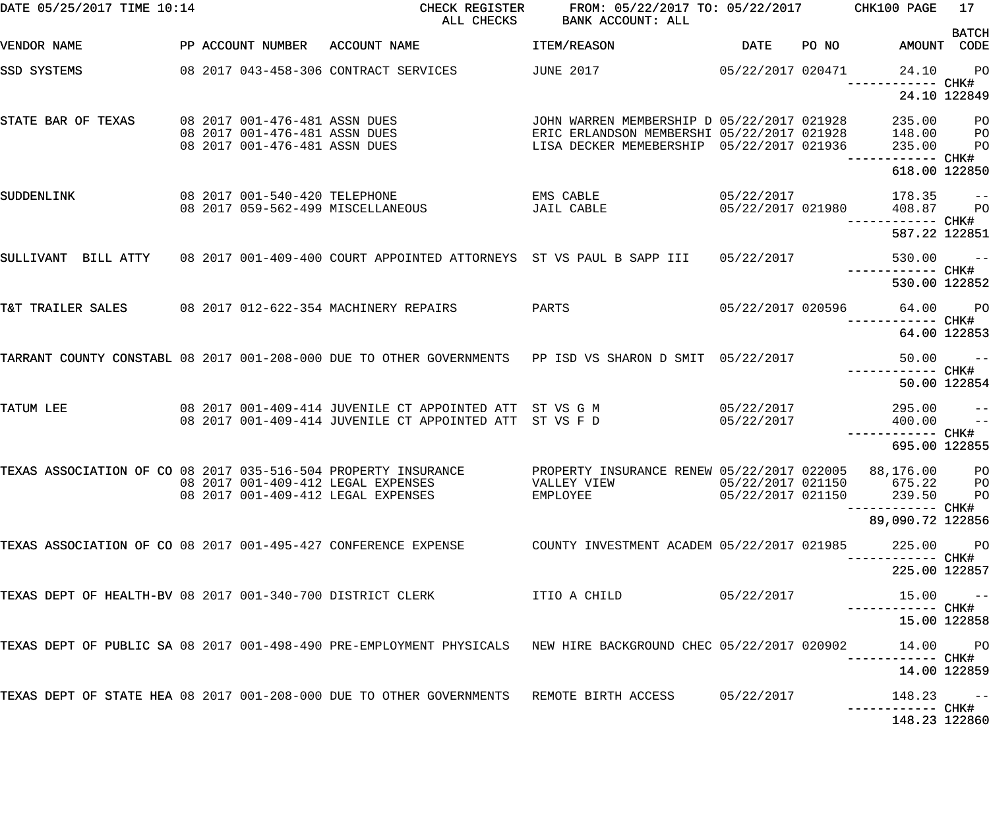| DATE 05/25/2017 TIME 10:14                                     |  |                                                                                                 | CHECK REGISTER<br>ALL CHECKS                                                                                                                                 | FROM: 05/22/2017 TO: 05/22/2017 CHK100 PAGE<br>BANK ACCOUNT: ALL                                                                      |                                 |       |                                    | 17                      |
|----------------------------------------------------------------|--|-------------------------------------------------------------------------------------------------|--------------------------------------------------------------------------------------------------------------------------------------------------------------|---------------------------------------------------------------------------------------------------------------------------------------|---------------------------------|-------|------------------------------------|-------------------------|
| VENDOR NAME                                                    |  |                                                                                                 | PP ACCOUNT NUMBER ACCOUNT NAME                                                                                                                               | ITEM/REASON                                                                                                                           | <b>DATE</b>                     | PO NO | AMOUNT CODE                        | <b>BATCH</b>            |
| SSD SYSTEMS                                                    |  |                                                                                                 | 08 2017 043-458-306 CONTRACT SERVICES                                                                                                                        | <b>JUNE 2017</b>                                                                                                                      | 05/22/2017 020471               |       | 24.10<br>-------- CHK#             | <b>PO</b>               |
|                                                                |  |                                                                                                 |                                                                                                                                                              |                                                                                                                                       |                                 |       | 24.10 122849                       |                         |
| STATE BAR OF TEXAS                                             |  | 08 2017 001-476-481 ASSN DUES<br>08 2017 001-476-481 ASSN DUES<br>08 2017 001-476-481 ASSN DUES |                                                                                                                                                              | JOHN WARREN MEMBERSHIP D 05/22/2017 021928<br>ERIC ERLANDSON MEMBERSHI 05/22/2017 021928<br>LISA DECKER MEMEBERSHIP 05/22/2017 021936 |                                 |       | 235.00<br>148.00<br>235.00         | $P$ O<br>$P$ O<br>PO    |
|                                                                |  |                                                                                                 |                                                                                                                                                              |                                                                                                                                       |                                 |       | 618.00 122850                      |                         |
| SUDDENLINK                                                     |  | 08 2017 001-540-420 TELEPHONE                                                                   | 08 2017 059-562-499 MISCELLANEOUS                                                                                                                            | EMS CABLE<br>JAIL CABLE                                                                                                               | 05/22/2017<br>05/22/2017 021980 |       | 178.35<br>408.87                   | $- -$<br>P <sub>O</sub> |
|                                                                |  |                                                                                                 |                                                                                                                                                              |                                                                                                                                       |                                 |       | 587.22 122851                      |                         |
| SULLIVANT BILL ATTY                                            |  |                                                                                                 | 08 2017 001-409-400 COURT APPOINTED ATTORNEYS ST VS PAUL B SAPP III                                                                                          |                                                                                                                                       | 05/22/2017                      |       | 530.00                             | $\sim$ $ -$             |
|                                                                |  |                                                                                                 |                                                                                                                                                              |                                                                                                                                       |                                 |       | 530.00 122852                      |                         |
| T&T TRAILER SALES                                              |  |                                                                                                 | 08 2017 012-622-354 MACHINERY REPAIRS                                                                                                                        | PARTS                                                                                                                                 | 05/22/2017 020596               |       | 64.00 PO                           |                         |
|                                                                |  |                                                                                                 |                                                                                                                                                              |                                                                                                                                       |                                 |       | 64.00 122853                       |                         |
|                                                                |  |                                                                                                 | TARRANT COUNTY CONSTABL 08 2017 001-208-000 DUE TO OTHER GOVERNMENTS PP ISD VS SHARON D SMIT 05/22/2017                                                      |                                                                                                                                       |                                 |       | 50.00                              | $\sim$ $ -$             |
|                                                                |  |                                                                                                 |                                                                                                                                                              |                                                                                                                                       |                                 |       | 50.00 122854                       |                         |
| TATUM LEE                                                      |  |                                                                                                 | 08 2017 001-409-414 JUVENILE CT APPOINTED ATT ST VS G M<br>08 2017 001-409-414 JUVENILE CT APPOINTED ATT ST VS F D                                           |                                                                                                                                       | 05/22/2017<br>05/22/2017        |       | 295.00<br>400.00                   | $ -$<br>$-$             |
|                                                                |  |                                                                                                 |                                                                                                                                                              |                                                                                                                                       |                                 |       | ------------ CHK#<br>695.00 122855 |                         |
|                                                                |  |                                                                                                 | TEXAS ASSOCIATION OF CO 08 2017 035-516-504 PROPERTY INSURANCE PROPERTY INSURANCE RENEW 05/22/2017 022005 88,176.00 PO<br>08 2017 001-409-412 LEGAL EXPENSES | VALLEY VIEW                                                                                                                           | 05/22/2017 021150               |       | 675.22                             | <b>PO</b>               |
|                                                                |  |                                                                                                 | 08 2017 001-409-412 LEGAL EXPENSES                                                                                                                           | <b>EMPLOYEE</b>                                                                                                                       | 05/22/2017 021150               |       | 239.50<br>---------- CHK#          | P <sub>O</sub>          |
|                                                                |  |                                                                                                 |                                                                                                                                                              |                                                                                                                                       |                                 |       | 89,090.72 122856                   |                         |
| TEXAS ASSOCIATION OF CO 08 2017 001-495-427 CONFERENCE EXPENSE |  |                                                                                                 |                                                                                                                                                              | COUNTY INVESTMENT ACADEM 05/22/2017 021985                                                                                            |                                 |       | 225.00                             | PO <sub>1</sub>         |
|                                                                |  |                                                                                                 |                                                                                                                                                              |                                                                                                                                       |                                 |       | 225.00 122857                      |                         |
|                                                                |  |                                                                                                 | TEXAS DEPT OF HEALTH-BV 08 2017 001-340-700 DISTRICT CLERK                                                                                                   | ITIO A CHILD                                                                                                                          | 05/22/2017                      |       | 15.00<br>------------ CHK#         | $ -$                    |
|                                                                |  |                                                                                                 | TEXAS DEPT OF PUBLIC SA 08 2017 001-498-490 PRE-EMPLOYMENT PHYSICALS MEW HIRE BACKGROUND CHEC 05/22/2017 020902                                              |                                                                                                                                       |                                 |       | 15.00 122858                       |                         |
|                                                                |  |                                                                                                 |                                                                                                                                                              |                                                                                                                                       |                                 |       | 14.00<br>14.00 122859              | <b>PO</b>               |
|                                                                |  |                                                                                                 | TEXAS DEPT OF STATE HEA 08 2017 001-208-000 DUE TO OTHER GOVERNMENTS REMOTE BIRTH ACCESS 05/22/2017                                                          |                                                                                                                                       |                                 |       | 148.23                             | $\sim$ $ -$             |
|                                                                |  |                                                                                                 |                                                                                                                                                              |                                                                                                                                       |                                 |       | 148.23 122860                      |                         |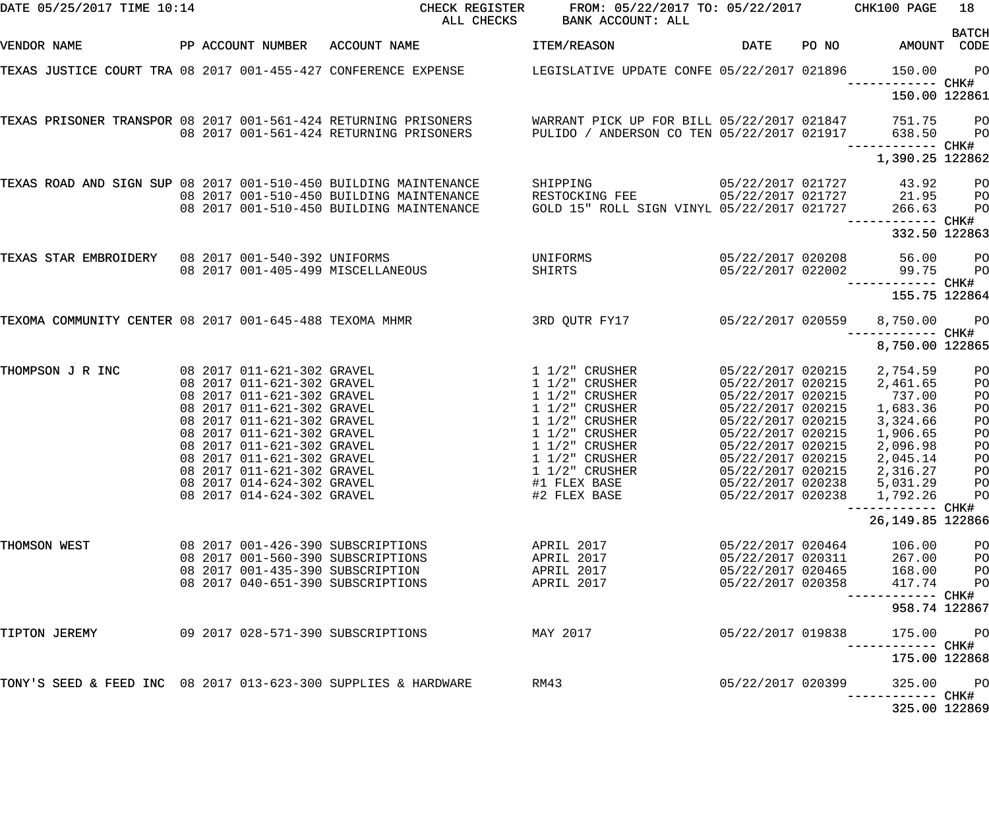| DATE 05/25/2017 TIME 10:14                                       |  |                                                          | CHECK REGISTER<br>ALL CHECKS                                                                                   | FROM: 05/22/2017 TO: 05/22/2017 CHK100 PAGE<br>BANK ACCOUNT: ALL                         |                                        |       |                                       | 18                               |
|------------------------------------------------------------------|--|----------------------------------------------------------|----------------------------------------------------------------------------------------------------------------|------------------------------------------------------------------------------------------|----------------------------------------|-------|---------------------------------------|----------------------------------|
| VENDOR NAME                                                      |  |                                                          | PP ACCOUNT NUMBER ACCOUNT NAME                                                                                 | <b>ITEM/REASON</b>                                                                       | DATE                                   | PO NO | AMOUNT CODE                           | <b>BATCH</b>                     |
|                                                                  |  |                                                          | TEXAS JUSTICE COURT TRA 08 2017 001-455-427 CONFERENCE EXPENSE                                                 | LEGISLATIVE UPDATE CONFE 05/22/2017 021896                                               |                                        |       | 150.00<br>------------ CHK#           | P <sub>O</sub>                   |
|                                                                  |  |                                                          |                                                                                                                |                                                                                          |                                        |       | 150.00 122861                         |                                  |
|                                                                  |  |                                                          | TEXAS PRISONER TRANSPOR 08 2017 001-561-424 RETURNING PRISONERS<br>08  2017  001-561-424  RETURNING  PRISONERS | WARRANT PICK UP FOR BILL 05/22/2017 021847<br>PULIDO / ANDERSON CO TEN 05/22/2017 021917 |                                        |       | 751.75<br>638.50<br>------------ CHK# | P <sub>O</sub><br>P <sub>O</sub> |
|                                                                  |  |                                                          |                                                                                                                |                                                                                          |                                        |       | 1,390.25 122862                       |                                  |
| TEXAS ROAD AND SIGN SUP 08 2017 001-510-450 BUILDING MAINTENANCE |  |                                                          |                                                                                                                | SHIPPING                                                                                 | 05/22/2017 021727                      |       | 43.92                                 | P <sub>O</sub>                   |
|                                                                  |  |                                                          | 08 2017 001-510-450 BUILDING MAINTENANCE                                                                       | RESTOCKING FEE                                                                           |                                        |       | 05/22/2017 021727 21.95               | P <sub>O</sub>                   |
|                                                                  |  |                                                          | 08 2017 001-510-450 BUILDING MAINTENANCE                                                                       | GOLD 15" ROLL SIGN VINYL 05/22/2017 021727                                               |                                        |       | 266.63                                | PO                               |
|                                                                  |  |                                                          |                                                                                                                |                                                                                          |                                        |       | 332.50 122863                         |                                  |
| TEXAS STAR EMBROIDERY 08 2017 001-540-392 UNIFORMS               |  |                                                          |                                                                                                                | UNIFORMS                                                                                 | 05/22/2017 020208                      |       | 56.00                                 | P <sub>O</sub>                   |
|                                                                  |  |                                                          | 08 2017 001-405-499 MISCELLANEOUS                                                                              | SHIRTS                                                                                   | 05/22/2017 022002                      |       | 99.75<br>------------ CHK#            | P <sub>O</sub>                   |
|                                                                  |  |                                                          |                                                                                                                |                                                                                          |                                        |       | 155.75 122864                         |                                  |
| TEXOMA COMMUNITY CENTER 08 2017 001-645-488 TEXOMA MHMR          |  |                                                          |                                                                                                                | 3RD QUTR FY17                                                                            | 05/22/2017 020559                      |       | 8,750.00                              | P <sub>O</sub>                   |
|                                                                  |  |                                                          |                                                                                                                |                                                                                          |                                        |       | 8,750.00 122865                       |                                  |
| THOMPSON J R INC                                                 |  | 08 2017 011-621-302 GRAVEL                               |                                                                                                                | $1\;1/2"$ CRUSHER                                                                        | 05/22/2017 020215                      |       | 2,754.59                              | PO                               |
|                                                                  |  | 08 2017 011-621-302 GRAVEL                               |                                                                                                                | $1\;1/2$ " CRUSHER                                                                       | 05/22/2017 020215                      |       | 2,461.65                              | P <sub>O</sub>                   |
|                                                                  |  | 08 2017 011-621-302 GRAVEL                               |                                                                                                                | $1\;1/2$ " CRUSHER                                                                       | 05/22/2017 020215                      |       | 737.00                                | P <sub>O</sub>                   |
|                                                                  |  | 08 2017 011-621-302 GRAVEL<br>08 2017 011-621-302 GRAVEL |                                                                                                                | $1\;1/2$ " CRUSHER<br>$1\;1/2$ " CRUSHER                                                 | 05/22/2017 020215<br>05/22/2017 020215 |       | 1,683.36<br>3,324.66                  | P <sub>O</sub><br>P <sub>O</sub> |
|                                                                  |  | 08 2017 011-621-302 GRAVEL                               |                                                                                                                | 1 1/2" CRUSHER                                                                           | 05/22/2017 020215                      |       | 1,906.65                              | P <sub>O</sub>                   |
|                                                                  |  | 08 2017 011-621-302 GRAVEL                               |                                                                                                                | $1\;1/2$ " CRUSHER                                                                       | 05/22/2017 020215                      |       | 2,096.98                              | P <sub>O</sub>                   |
|                                                                  |  | 08 2017 011-621-302 GRAVEL                               |                                                                                                                | $1\ 1/2$ " CRUSHER                                                                       | 05/22/2017 020215                      |       | 2,045.14                              | PO                               |
|                                                                  |  | 08 2017 011-621-302 GRAVEL                               |                                                                                                                | $1 1/2"$ CRUSHER                                                                         | 05/22/2017 020215                      |       | 2,316.27                              | P <sub>O</sub>                   |
|                                                                  |  | 08 2017 014-624-302 GRAVEL                               |                                                                                                                | #1 FLEX BASE                                                                             |                                        |       | 05/22/2017 020238 5,031.29            | P <sub>O</sub>                   |
|                                                                  |  | 08 2017 014-624-302 GRAVEL                               |                                                                                                                | #2 FLEX BASE                                                                             | 05/22/2017 020238                      |       | 1,792.26                              | PO                               |
|                                                                  |  |                                                          |                                                                                                                |                                                                                          |                                        |       | --------- CHK#<br>26, 149.85 122866   |                                  |
| THOMSON WEST                                                     |  |                                                          | 08  2017  001-426-390  SUBSCRIPTIONS                                                                           | APRIL 2017                                                                               | 05/22/2017 020464                      |       | 106.00                                | P <sub>O</sub>                   |
|                                                                  |  |                                                          | 08 2017 001-560-390 SUBSCRIPTIONS                                                                              | APRIL 2017                                                                               | 05/22/2017 020311                      |       | 267.00                                | PO                               |
|                                                                  |  |                                                          | 08 2017 001-435-390 SUBSCRIPTION                                                                               | APRIL 2017                                                                               | 05/22/2017 020465                      |       | 168.00                                | P <sub>O</sub>                   |
|                                                                  |  |                                                          | 08 2017 040-651-390 SUBSCRIPTIONS                                                                              | APRIL 2017                                                                               | 05/22/2017 020358                      |       | 417.74                                | PO                               |
|                                                                  |  |                                                          |                                                                                                                |                                                                                          |                                        |       | 958.74 122867                         |                                  |
| TIPTON JEREMY                                                    |  |                                                          | 09 2017 028-571-390 SUBSCRIPTIONS                                                                              | MAY 2017                                                                                 | 05/22/2017 019838                      |       | 175.00                                | P <sub>O</sub>                   |
|                                                                  |  |                                                          |                                                                                                                |                                                                                          |                                        |       | 175.00 122868                         |                                  |
| TONY'S SEED & FEED INC 08 2017 013-623-300 SUPPLIES & HARDWARE   |  |                                                          |                                                                                                                | RM43                                                                                     | 05/22/2017 020399                      |       | 325.00                                | $P$ O                            |
|                                                                  |  |                                                          |                                                                                                                |                                                                                          |                                        |       | 325.00 122869                         |                                  |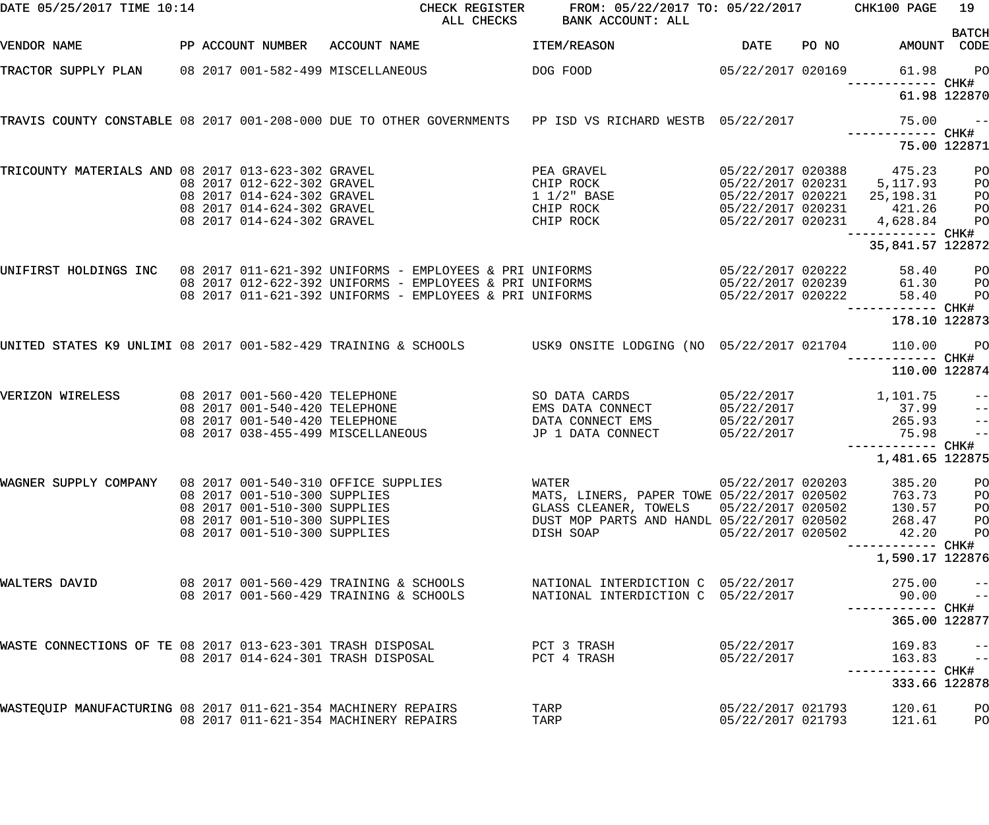| DATE 05/25/2017 TIME 10:14                                    |  |                                                              | CHECK REGISTER<br>ALL CHECKS                                                                                  | FROM: 05/22/2017 TO: 05/22/2017 CHK100 PAGE<br>BANK ACCOUNT: ALL |                   |       |                                      | 19                                                                                                                                                                                                                                                                                                                                                                                                                                                                              |
|---------------------------------------------------------------|--|--------------------------------------------------------------|---------------------------------------------------------------------------------------------------------------|------------------------------------------------------------------|-------------------|-------|--------------------------------------|---------------------------------------------------------------------------------------------------------------------------------------------------------------------------------------------------------------------------------------------------------------------------------------------------------------------------------------------------------------------------------------------------------------------------------------------------------------------------------|
| VENDOR NAME                                                   |  |                                                              | PP ACCOUNT NUMBER ACCOUNT NAME                                                                                | ITEM/REASON                                                      | <b>DATE</b>       | PO NO | AMOUNT CODE                          | <b>BATCH</b>                                                                                                                                                                                                                                                                                                                                                                                                                                                                    |
| TRACTOR SUPPLY PLAN 08 2017 001-582-499 MISCELLANEOUS         |  |                                                              |                                                                                                               | DOG FOOD                                                         | 05/22/2017 020169 |       | 61.98                                | <b>PO</b>                                                                                                                                                                                                                                                                                                                                                                                                                                                                       |
|                                                               |  |                                                              |                                                                                                               |                                                                  |                   |       |                                      | 61.98 122870                                                                                                                                                                                                                                                                                                                                                                                                                                                                    |
|                                                               |  |                                                              | TRAVIS COUNTY CONSTABLE 08 2017 001-208-000 DUE TO OTHER GOVERNMENTS PP ISD VS RICHARD WESTB 05/22/2017       |                                                                  |                   |       | 75.00<br>------------ CHK#           | $\overline{\phantom{a}}$ $\overline{\phantom{a}}$ $\overline{\phantom{a}}$ $\overline{\phantom{a}}$ $\overline{\phantom{a}}$ $\overline{\phantom{a}}$ $\overline{\phantom{a}}$ $\overline{\phantom{a}}$ $\overline{\phantom{a}}$ $\overline{\phantom{a}}$ $\overline{\phantom{a}}$ $\overline{\phantom{a}}$ $\overline{\phantom{a}}$ $\overline{\phantom{a}}$ $\overline{\phantom{a}}$ $\overline{\phantom{a}}$ $\overline{\phantom{a}}$ $\overline{\phantom{a}}$ $\overline{\$ |
|                                                               |  |                                                              |                                                                                                               |                                                                  |                   |       | 75.00 122871                         |                                                                                                                                                                                                                                                                                                                                                                                                                                                                                 |
| TRICOUNTY MATERIALS AND 08 2017 013-623-302 GRAVEL            |  | 08 2017 012-622-302 GRAVEL                                   |                                                                                                               | PEA GRAVEL<br>CHIP ROCK                                          | 05/22/2017 020388 |       | 475.23<br>05/22/2017 020231 5,117.93 | PО<br>PО                                                                                                                                                                                                                                                                                                                                                                                                                                                                        |
|                                                               |  | 08 2017 014-624-302 GRAVEL                                   |                                                                                                               | 1 1/2" BASE                                                      | 05/22/2017 020221 |       | 25,198.31                            | PО                                                                                                                                                                                                                                                                                                                                                                                                                                                                              |
|                                                               |  | 08 2017 014-624-302 GRAVEL                                   |                                                                                                               | CHIP ROCK                                                        | 05/22/2017 020231 |       | 421.26                               | P <sub>O</sub>                                                                                                                                                                                                                                                                                                                                                                                                                                                                  |
|                                                               |  | 08 2017 014-624-302 GRAVEL                                   |                                                                                                               | CHIP ROCK                                                        | 05/22/2017 020231 |       | 4,628.84                             | PO                                                                                                                                                                                                                                                                                                                                                                                                                                                                              |
|                                                               |  |                                                              |                                                                                                               |                                                                  |                   |       |                                      |                                                                                                                                                                                                                                                                                                                                                                                                                                                                                 |
|                                                               |  |                                                              |                                                                                                               |                                                                  |                   |       | 35,841.57 122872                     |                                                                                                                                                                                                                                                                                                                                                                                                                                                                                 |
|                                                               |  |                                                              | UNIFIRST HOLDINGS INC 08 2017 011-621-392 UNIFORMS - EMPLOYEES & PRI UNIFORMS                                 |                                                                  | 05/22/2017 020222 |       | 58.40                                | $P$ O                                                                                                                                                                                                                                                                                                                                                                                                                                                                           |
|                                                               |  |                                                              | 08 2017 012-622-392 UNIFORMS - EMPLOYEES & PRI UNIFORMS                                                       |                                                                  | 05/22/2017 020239 |       | 61.30                                | <b>PO</b>                                                                                                                                                                                                                                                                                                                                                                                                                                                                       |
|                                                               |  |                                                              | 08 2017 011-621-392 UNIFORMS - EMPLOYEES & PRI UNIFORMS                                                       |                                                                  | 05/22/2017 020222 |       | 58.40                                | P <sub>O</sub>                                                                                                                                                                                                                                                                                                                                                                                                                                                                  |
|                                                               |  |                                                              |                                                                                                               |                                                                  |                   |       | 178.10 122873                        |                                                                                                                                                                                                                                                                                                                                                                                                                                                                                 |
|                                                               |  |                                                              | UNITED STATES K9 UNLIMI 08 2017 001-582-429 TRAINING & SCHOOLS WORS USK9 ONSITE LODGING (NO 05/22/2017 021704 |                                                                  |                   |       | 110.00                               | <b>PO</b>                                                                                                                                                                                                                                                                                                                                                                                                                                                                       |
|                                                               |  |                                                              |                                                                                                               |                                                                  |                   |       | 110.00 122874                        |                                                                                                                                                                                                                                                                                                                                                                                                                                                                                 |
| VERIZON WIRELESS                                              |  | 08 2017 001-560-420 TELEPHONE                                |                                                                                                               | SO DATA CARDS                                                    | 05/22/2017        |       | 1,101.75                             | $\qquad \qquad -$                                                                                                                                                                                                                                                                                                                                                                                                                                                               |
|                                                               |  | 08 2017 001-540-420 TELEPHONE                                |                                                                                                               | EMS DATA CONNECT                                                 | 05/22/2017        |       | 37.99                                | $\qquad \qquad -$                                                                                                                                                                                                                                                                                                                                                                                                                                                               |
|                                                               |  | 08 2017 001-540-420 TELEPHONE                                |                                                                                                               | DATA CONNECT EMS                                                 | 05/22/2017        |       | 265.93                               | $\overline{\phantom{a}}$                                                                                                                                                                                                                                                                                                                                                                                                                                                        |
|                                                               |  |                                                              | 08 2017 038-455-499 MISCELLANEOUS                                                                             | JP 1 DATA CONNECT                                                | 05/22/2017        |       | 75.98                                | $\equiv$ $\equiv$                                                                                                                                                                                                                                                                                                                                                                                                                                                               |
|                                                               |  |                                                              |                                                                                                               |                                                                  |                   |       | ------------ CHK#                    |                                                                                                                                                                                                                                                                                                                                                                                                                                                                                 |
|                                                               |  |                                                              |                                                                                                               |                                                                  |                   |       | 1,481.65 122875                      |                                                                                                                                                                                                                                                                                                                                                                                                                                                                                 |
| WAGNER SUPPLY COMPANY                                         |  |                                                              | 08 2017 001-540-310 OFFICE SUPPLIES                                                                           | WATER                                                            | 05/22/2017 020203 |       | 385.20                               | PO                                                                                                                                                                                                                                                                                                                                                                                                                                                                              |
|                                                               |  | 08 2017 001-510-300 SUPPLIES                                 |                                                                                                               | MATS, LINERS, PAPER TOWE 05/22/2017 020502                       |                   |       | 763.73                               | PO                                                                                                                                                                                                                                                                                                                                                                                                                                                                              |
|                                                               |  | 08 2017 001-510-300 SUPPLIES                                 |                                                                                                               | GLASS CLEANER, TOWELS                                            | 05/22/2017 020502 |       | 130.57                               | PO                                                                                                                                                                                                                                                                                                                                                                                                                                                                              |
|                                                               |  | 08 2017 001-510-300 SUPPLIES<br>08 2017 001-510-300 SUPPLIES |                                                                                                               | DUST MOP PARTS AND HANDL 05/22/2017 020502<br>DISH SOAP          | 05/22/2017 020502 |       | 268.47<br>42.20                      | PО<br>P <sub>O</sub>                                                                                                                                                                                                                                                                                                                                                                                                                                                            |
|                                                               |  |                                                              |                                                                                                               |                                                                  |                   |       | ------------ CHK#                    |                                                                                                                                                                                                                                                                                                                                                                                                                                                                                 |
|                                                               |  |                                                              |                                                                                                               |                                                                  |                   |       | 1,590.17 122876                      |                                                                                                                                                                                                                                                                                                                                                                                                                                                                                 |
| WALTERS DAVID                                                 |  |                                                              | 08  2017  001-560-429  TRAINING & SCHOOLS                                                                     | NATIONAL INTERDICTION C 05/22/2017                               |                   |       | 275.00                               | $ -$                                                                                                                                                                                                                                                                                                                                                                                                                                                                            |
|                                                               |  |                                                              | 08 2017 001-560-429 TRAINING & SCHOOLS                                                                        | NATIONAL INTERDICTION C 05/22/2017                               |                   |       | 90.00                                | $\pm$ $\pm$                                                                                                                                                                                                                                                                                                                                                                                                                                                                     |
|                                                               |  |                                                              |                                                                                                               |                                                                  |                   |       | 365.00 122877                        |                                                                                                                                                                                                                                                                                                                                                                                                                                                                                 |
| WASTE CONNECTIONS OF TE 08 2017 013-623-301 TRASH DISPOSAL    |  |                                                              |                                                                                                               | PCT 3 TRASH                                                      | 05/22/2017        |       | 169.83                               | $- -$                                                                                                                                                                                                                                                                                                                                                                                                                                                                           |
|                                                               |  |                                                              | 08 2017 014-624-301 TRASH DISPOSAL                                                                            | PCT 4 TRASH                                                      | 05/22/2017        |       | 163.83                               | $\qquad \qquad -$                                                                                                                                                                                                                                                                                                                                                                                                                                                               |
|                                                               |  |                                                              |                                                                                                               |                                                                  |                   |       |                                      |                                                                                                                                                                                                                                                                                                                                                                                                                                                                                 |
|                                                               |  |                                                              |                                                                                                               |                                                                  |                   |       | 333.66 122878                        |                                                                                                                                                                                                                                                                                                                                                                                                                                                                                 |
| WASTEQUIP MANUFACTURING 08 2017 011-621-354 MACHINERY REPAIRS |  |                                                              |                                                                                                               | TARP                                                             | 05/22/2017 021793 |       | 120.61                               | PO                                                                                                                                                                                                                                                                                                                                                                                                                                                                              |
|                                                               |  |                                                              | 08 2017 011-621-354 MACHINERY REPAIRS                                                                         | TARP                                                             | 05/22/2017 021793 |       | 121.61                               | PO                                                                                                                                                                                                                                                                                                                                                                                                                                                                              |
|                                                               |  |                                                              |                                                                                                               |                                                                  |                   |       |                                      |                                                                                                                                                                                                                                                                                                                                                                                                                                                                                 |